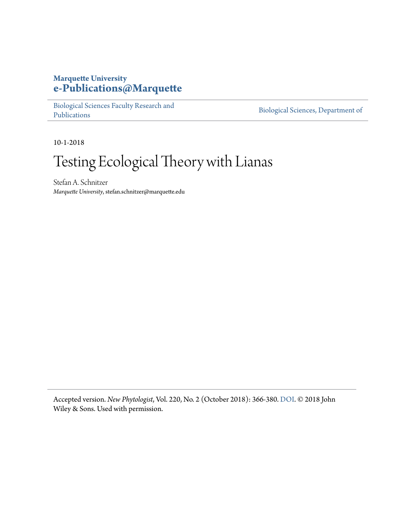## **Marquette University [e-Publications@Marquette](https://epublications.marquette.edu/)**

[Biological Sciences Faculty Research and](https://epublications.marquette.edu/bio_fac) [Publications](https://epublications.marquette.edu/bio_fac)

[Biological Sciences, Department of](https://epublications.marquette.edu/biology)

10-1-2018

# Testing Ecological Theory with Lianas

Stefan A. Schnitzer *Marquette University*, stefan.schnitzer@marquette.edu

Accepted version. *New Phytologist*, Vol. 220, No. 2 (October 2018): 366-380. [DOI](https://doi.org/10.1111/nph.15431). © 2018 John Wiley & Sons. Used with permission.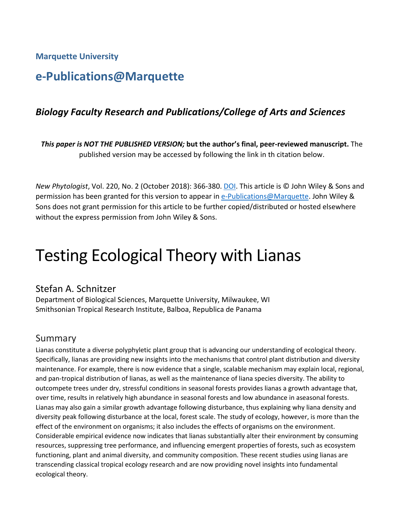**Marquette University**

# **e-Publications@Marquette**

## *Biology Faculty Research and Publications/College of Arts and Sciences*

*This paper is NOT THE PUBLISHED VERSION;* **but the author's final, peer-reviewed manuscript.** The published version may be accessed by following the link in th citation below.

*New Phytologist*, Vol. 220, No. 2 (October 2018): 366-380. [DOI.](https://doi.org/10.1111/nph.15431) This article is © John Wiley & Sons and permission has been granted for this version to appear in [e-Publications@Marquette.](http://epublications.marquette.edu/) John Wiley & Sons does not grant permission for this article to be further copied/distributed or hosted elsewhere without the express permission from John Wiley & Sons.

# Testing Ecological Theory with Lianas

### Stefan A. Schnitzer

Department of Biological Sciences, Marquette University, Milwaukee, WI Smithsonian Tropical Research Institute, Balboa, Republica de Panama

### Summary

Lianas constitute a diverse polyphyletic plant group that is advancing our understanding of ecological theory. Specifically, lianas are providing new insights into the mechanisms that control plant distribution and diversity maintenance. For example, there is now evidence that a single, scalable mechanism may explain local, regional, and pan-tropical distribution of lianas, as well as the maintenance of liana species diversity. The ability to outcompete trees under dry, stressful conditions in seasonal forests provides lianas a growth advantage that, over time, results in relatively high abundance in seasonal forests and low abundance in aseasonal forests. Lianas may also gain a similar growth advantage following disturbance, thus explaining why liana density and diversity peak following disturbance at the local, forest scale. The study of ecology, however, is more than the effect of the environment on organisms; it also includes the effects of organisms on the environment. Considerable empirical evidence now indicates that lianas substantially alter their environment by consuming resources, suppressing tree performance, and influencing emergent properties of forests, such as ecosystem functioning, plant and animal diversity, and community composition. These recent studies using lianas are transcending classical tropical ecology research and are now providing novel insights into fundamental ecological theory.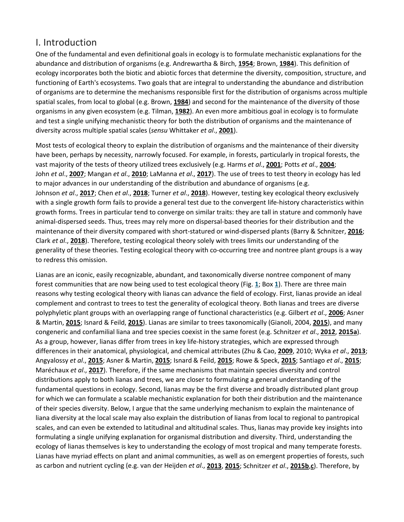# I. Introduction

One of the fundamental and even definitional goals in ecology is to formulate mechanistic explanations for the abundance and distribution of organisms (e.g. Andrewartha & Birch, **[1954](https://nph.onlinelibrary.wiley.com/doi/full/10.1111/nph.15431#nph15431-bib-0005)**; Brown, **[1984](https://nph.onlinelibrary.wiley.com/doi/full/10.1111/nph.15431#nph15431-bib-0016)**). This definition of ecology incorporates both the biotic and abiotic forces that determine the diversity, composition, structure, and functioning of Earth's ecosystems. Two goals that are integral to understanding the abundance and distribution of organisms are to determine the mechanisms responsible first for the distribution of organisms across multiple spatial scales, from local to global (e.g. Brown, **[1984](https://nph.onlinelibrary.wiley.com/doi/full/10.1111/nph.15431#nph15431-bib-0016)**) and second for the maintenance of the diversity of those organisms in any given ecosystem (e.g. Tilman, **[1982](https://nph.onlinelibrary.wiley.com/doi/full/10.1111/nph.15431#nph15431-bib-0140)**). An even more ambitious goal in ecology is to formulate and test a single unifying mechanistic theory for both the distribution of organisms and the maintenance of diversity across multiple spatial scales (*sensu* Whittaker *et al*., **[2001](https://nph.onlinelibrary.wiley.com/doi/full/10.1111/nph.15431#nph15431-bib-0150)**).

Most tests of ecological theory to explain the distribution of organisms and the maintenance of their diversity have been, perhaps by necessity, narrowly focused. For example, in forests, particularly in tropical forests, the vast majority of the tests of theory utilized trees exclusively (e.g. Harms *et al*., **[2001](https://nph.onlinelibrary.wiley.com/doi/full/10.1111/nph.15431#nph15431-bib-0054)**; Potts *et al*., **[2004](https://nph.onlinelibrary.wiley.com/doi/full/10.1111/nph.15431#nph15431-bib-0105)**; John *et al*., **[2007](https://nph.onlinelibrary.wiley.com/doi/full/10.1111/nph.15431#nph15431-bib-0071)**; Mangan *et al*., **[2010](https://nph.onlinelibrary.wiley.com/doi/full/10.1111/nph.15431#nph15431-bib-0086)**; LaManna *et al*., **[2017](https://nph.onlinelibrary.wiley.com/doi/full/10.1111/nph.15431#nph15431-bib-0080)**). The use of trees to test theory in ecology has led to major advances in our understanding of the distribution and abundance of organisms (e.g. Johnson *et al*., **[2017](https://nph.onlinelibrary.wiley.com/doi/full/10.1111/nph.15431#nph15431-bib-0072)**; Chen *et al*., **[2018](https://nph.onlinelibrary.wiley.com/doi/full/10.1111/nph.15431#nph15431-bib-0025)**; Turner *et al*., **[2018](https://nph.onlinelibrary.wiley.com/doi/full/10.1111/nph.15431#nph15431-bib-0145)**). However, testing key ecological theory exclusively with a single growth form fails to provide a general test due to the convergent life-history characteristics within growth forms. Trees in particular tend to converge on similar traits: they are tall in stature and commonly have animal-dispersed seeds. Thus, trees may rely more on dispersal-based theories for their distribution and the maintenance of their diversity compared with short-statured or wind-dispersed plants (Barry & Schnitzer, **[2016](https://nph.onlinelibrary.wiley.com/doi/full/10.1111/nph.15431#nph15431-bib-0012)**; Clark *et al*., **[2018](https://nph.onlinelibrary.wiley.com/doi/full/10.1111/nph.15431#nph15431-bib-0028)**). Therefore, testing ecological theory solely with trees limits our understanding of the generality of these theories. Testing ecological theory with co-occurring tree and nontree plant groups is a way to redress this omission.

Lianas are an iconic, easily recognizable, abundant, and taxonomically diverse nontree component of many forest communities that are now being used to test ecological theory (Fig. **[1](https://nph.onlinelibrary.wiley.com/doi/full/10.1111/nph.15431#nph15431-fig-0001)**; Box **[1](https://nph.onlinelibrary.wiley.com/doi/full/10.1111/nph.15431#nph15431-fea-0001)**). There are three main reasons why testing ecological theory with lianas can advance the field of ecology. First, lianas provide an ideal complement and contrast to trees to test the generality of ecological theory. Both lianas and trees are diverse polyphyletic plant groups with an overlapping range of functional characteristics (e.g. Gilbert *et al*., **[2006](https://nph.onlinelibrary.wiley.com/doi/full/10.1111/nph.15431#nph15431-bib-0049)**; Asner & Martin, **[2015](https://nph.onlinelibrary.wiley.com/doi/full/10.1111/nph.15431#nph15431-bib-0008)**; Isnard & Feild, **[2015](https://nph.onlinelibrary.wiley.com/doi/full/10.1111/nph.15431#nph15431-bib-0066)**). Lianas are similar to trees taxonomically (Gianoli, 2004, **[2015](https://nph.onlinelibrary.wiley.com/doi/full/10.1111/nph.15431#nph15431-bib-0048)**), and many congeneric and confamilial liana and tree species coexist in the same forest (e.g. Schnitzer *et al*., **[2012](https://nph.onlinelibrary.wiley.com/doi/full/10.1111/nph.15431#nph15431-bib-0129)**, **[2015a](https://nph.onlinelibrary.wiley.com/doi/full/10.1111/nph.15431#nph15431-bib-0130)**). As a group, however, lianas differ from trees in key life-history strategies, which are expressed through differences in their anatomical, physiological, and chemical attributes (Zhu & Cao, **[2009](https://nph.onlinelibrary.wiley.com/doi/full/10.1111/nph.15431#nph15431-bib-0156)**, 2010; Wyka *et al*., **[2013](https://nph.onlinelibrary.wiley.com/doi/full/10.1111/nph.15431#nph15431-bib-0153)**; Angyalossy *et al*., **[2015](https://nph.onlinelibrary.wiley.com/doi/full/10.1111/nph.15431#nph15431-bib-0006)**; Asner & Martin, **[2015](https://nph.onlinelibrary.wiley.com/doi/full/10.1111/nph.15431#nph15431-bib-0008)**; Isnard & Feild, **[2015](https://nph.onlinelibrary.wiley.com/doi/full/10.1111/nph.15431#nph15431-bib-0066)**; Rowe & Speck, **[2015](https://nph.onlinelibrary.wiley.com/doi/full/10.1111/nph.15431#nph15431-bib-0116)**; Santiago *et al*., **[2015](https://nph.onlinelibrary.wiley.com/doi/full/10.1111/nph.15431#nph15431-bib-0117)**; Maréchaux *et al*., **[2017](https://nph.onlinelibrary.wiley.com/doi/full/10.1111/nph.15431#nph15431-bib-0088)**). Therefore, if the same mechanisms that maintain species diversity and control distributions apply to both lianas and trees, we are closer to formulating a general understanding of the fundamental questions in ecology. Second, lianas may be the first diverse and broadly distributed plant group for which we can formulate a scalable mechanistic explanation for both their distribution and the maintenance of their species diversity. Below, I argue that the same underlying mechanism to explain the maintenance of liana diversity at the local scale may also explain the distribution of lianas from local to regional to pantropical scales, and can even be extended to latitudinal and altitudinal scales. Thus, lianas may provide key insights into formulating a single unifying explanation for organismal distribution and diversity. Third, understanding the ecology of lianas themselves is key to understanding the ecology of most tropical and many temperate forests. Lianas have myriad effects on plant and animal communities, as well as on emergent properties of forests, such as carbon and nutrient cycling (e.g. van der Heijden *et al*., **[2013](https://nph.onlinelibrary.wiley.com/doi/full/10.1111/nph.15431#nph15431-bib-0058)**, **[2015](https://nph.onlinelibrary.wiley.com/doi/full/10.1111/nph.15431#nph15431-bib-0057)**; Schnitzer *et al*., **[2015b](https://nph.onlinelibrary.wiley.com/doi/full/10.1111/nph.15431#nph15431-bib-0132)**,**[c](https://nph.onlinelibrary.wiley.com/doi/full/10.1111/nph.15431#nph15431-bib-0123)**). Therefore, by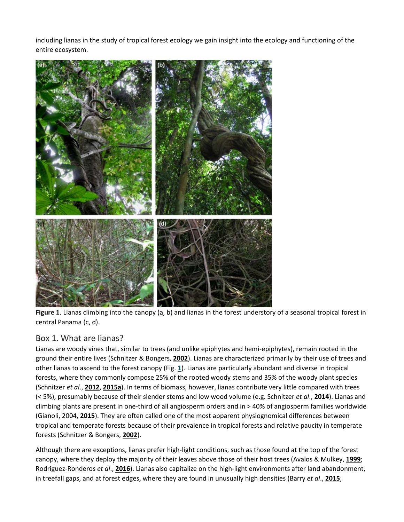including lianas in the study of tropical forest ecology we gain insight into the ecology and functioning of the entire ecosystem.



**Figure 1**. Lianas climbing into the canopy (a, b) and lianas in the forest understory of a seasonal tropical forest in central Panama (c, d).

#### Box 1. What are lianas?

Lianas are woody vines that, similar to trees (and unlike epiphytes and hemi-epiphytes), remain rooted in the ground their entire lives (Schnitzer & Bongers, **[2002](https://nph.onlinelibrary.wiley.com/doi/full/10.1111/nph.15431#nph15431-bib-0122)**). Lianas are characterized primarily by their use of trees and other lianas to ascend to the forest canopy (Fig. **[1](https://nph.onlinelibrary.wiley.com/doi/full/10.1111/nph.15431#nph15431-fig-0001)**). Lianas are particularly abundant and diverse in tropical forests, where they commonly compose 25% of the rooted woody stems and 35% of the woody plant species (Schnitzer *et al*., **[2012](https://nph.onlinelibrary.wiley.com/doi/full/10.1111/nph.15431#nph15431-bib-0129)**, **[2015a](https://nph.onlinelibrary.wiley.com/doi/full/10.1111/nph.15431#nph15431-bib-0130)**). In terms of biomass, however, lianas contribute very little compared with trees (< 5%), presumably because of their slender stems and low wood volume (e.g. Schnitzer *et al*., **[2014](https://nph.onlinelibrary.wiley.com/doi/full/10.1111/nph.15431#nph15431-bib-0134)**). Lianas and climbing plants are present in one-third of all angiosperm orders and in > 40% of angiosperm families worldwide (Gianoli, 2004, **[2015](https://nph.onlinelibrary.wiley.com/doi/full/10.1111/nph.15431#nph15431-bib-0048)**). They are often called one of the most apparent physiognomical differences between tropical and temperate forests because of their prevalence in tropical forests and relative paucity in temperate forests (Schnitzer & Bongers, **[2002](https://nph.onlinelibrary.wiley.com/doi/full/10.1111/nph.15431#nph15431-bib-0122)**).

Although there are exceptions, lianas prefer high-light conditions, such as those found at the top of the forest canopy, where they deploy the majority of their leaves above those of their host trees (Avalos & Mulkey, **[1999](https://nph.onlinelibrary.wiley.com/doi/full/10.1111/nph.15431#nph15431-bib-0009)**; Rodriguez-Ronderos *et al*., **[2016](https://nph.onlinelibrary.wiley.com/doi/full/10.1111/nph.15431#nph15431-bib-0115)**). Lianas also capitalize on the high-light environments after land abandonment, in treefall gaps, and at forest edges, where they are found in unusually high densities (Barry *et al*., **[2015](https://nph.onlinelibrary.wiley.com/doi/full/10.1111/nph.15431#nph15431-bib-0013)**;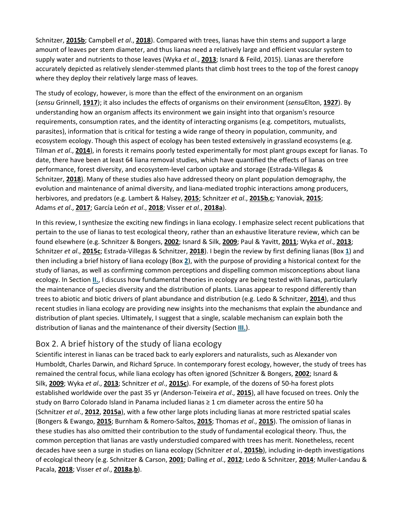Schnitzer, **[2015b](https://nph.onlinelibrary.wiley.com/doi/full/10.1111/nph.15431#nph15431-bib-0121)**; Campbell *et al*., **[2018](https://nph.onlinelibrary.wiley.com/doi/full/10.1111/nph.15431#nph15431-bib-0021)**). Compared with trees, lianas have thin stems and support a large amount of leaves per stem diameter, and thus lianas need a relatively large and efficient vascular system to supply water and nutrients to those leaves (Wyka *et al*., **[2013](https://nph.onlinelibrary.wiley.com/doi/full/10.1111/nph.15431#nph15431-bib-0153)**; Isnard & Feild, 2015). Lianas are therefore accurately depicted as relatively slender-stemmed plants that climb host trees to the top of the forest canopy where they deploy their relatively large mass of leaves.

The study of ecology, however, is more than the effect of the environment on an organism (*sensu* Grinnell, **[1917](https://nph.onlinelibrary.wiley.com/doi/full/10.1111/nph.15431#nph15431-bib-0051)**); it also includes the effects of organisms on their environment (*sensu*Elton, **[1927](https://nph.onlinelibrary.wiley.com/doi/full/10.1111/nph.15431#nph15431-bib-0040)**). By understanding how an organism affects its environment we gain insight into that organism's resource requirements, consumption rates, and the identity of interacting organisms (e.g. competitors, mutualists, parasites), information that is critical for testing a wide range of theory in population, community, and ecosystem ecology. Though this aspect of ecology has been tested extensively in grassland ecosystems (e.g. Tilman *et al*., **[2014](https://nph.onlinelibrary.wiley.com/doi/full/10.1111/nph.15431#nph15431-bib-0141)**), in forests it remains poorly tested experimentally for most plant groups except for lianas. To date, there have been at least 64 liana removal studies, which have quantified the effects of lianas on tree performance, forest diversity, and ecosystem-level carbon uptake and storage (Estrada-Villegas & Schnitzer, **[2018](https://nph.onlinelibrary.wiley.com/doi/full/10.1111/nph.15431#nph15431-bib-0041)**). Many of these studies also have addressed theory on plant population demography, the evolution and maintenance of animal diversity, and liana-mediated trophic interactions among producers, herbivores, and predators (e.g. Lambert & Halsey, **[2015](https://nph.onlinelibrary.wiley.com/doi/full/10.1111/nph.15431#nph15431-bib-0081)**; Schnitzer *et al*., **[2015b](https://nph.onlinelibrary.wiley.com/doi/full/10.1111/nph.15431#nph15431-bib-0132)**,**[c](https://nph.onlinelibrary.wiley.com/doi/full/10.1111/nph.15431#nph15431-bib-0123)**; Yanoviak, **[2015](https://nph.onlinelibrary.wiley.com/doi/full/10.1111/nph.15431#nph15431-bib-0154)**; Adams *et al*., **[2017](https://nph.onlinelibrary.wiley.com/doi/full/10.1111/nph.15431#nph15431-bib-0001)**; García León *et al*., **[2018](https://nph.onlinelibrary.wiley.com/doi/full/10.1111/nph.15431#nph15431-bib-0043)**; Visser *et al*., **[2018a](https://nph.onlinelibrary.wiley.com/doi/full/10.1111/nph.15431#nph15431-bib-0149)**).

In this review, I synthesize the exciting new findings in liana ecology. I emphasize select recent publications that pertain to the use of lianas to test ecological theory, rather than an exhaustive literature review, which can be found elsewhere (e.g. Schnitzer & Bongers, **[2002](https://nph.onlinelibrary.wiley.com/doi/full/10.1111/nph.15431#nph15431-bib-0122)**; Isnard & Silk, **[2009](https://nph.onlinelibrary.wiley.com/doi/full/10.1111/nph.15431#nph15431-bib-0067)**; Paul & Yavitt, **[2011](https://nph.onlinelibrary.wiley.com/doi/full/10.1111/nph.15431#nph15431-bib-0101)**; Wyka *et al*., **[2013](https://nph.onlinelibrary.wiley.com/doi/full/10.1111/nph.15431#nph15431-bib-0153)**; Schnitzer *et al*., **[2015c](https://nph.onlinelibrary.wiley.com/doi/full/10.1111/nph.15431#nph15431-bib-0123)**; Estrada-Villegas & Schnitzer, **[2018](https://nph.onlinelibrary.wiley.com/doi/full/10.1111/nph.15431#nph15431-bib-0041)**). I begin the review by first defining lianas (Box **[1](https://nph.onlinelibrary.wiley.com/doi/full/10.1111/nph.15431#nph15431-fea-0001)**) and then including a brief history of liana ecology (Box **[2](https://nph.onlinelibrary.wiley.com/doi/full/10.1111/nph.15431#nph15431-fea-0002)**), with the purpose of providing a historical context for the study of lianas, as well as confirming common perceptions and dispelling common misconceptions about liana ecology. In Section **[II.](https://nph.onlinelibrary.wiley.com/doi/full/10.1111/nph.15431#nph15431-sec-0003-title)**, I discuss how fundamental theories in ecology are being tested with lianas, particularly the maintenance of species diversity and the distribution of plants. Lianas appear to respond differently than trees to abiotic and biotic drivers of plant abundance and distribution (e.g. Ledo & Schnitzer, **[2014](https://nph.onlinelibrary.wiley.com/doi/full/10.1111/nph.15431#nph15431-bib-0084)**), and thus recent studies in liana ecology are providing new insights into the mechanisms that explain the abundance and distribution of plant species. Ultimately, I suggest that a single, scalable mechanism can explain both the distribution of lianas and the maintenance of their diversity (Section **[III.](https://nph.onlinelibrary.wiley.com/doi/full/10.1111/nph.15431#nph15431-sec-0006-title)**).

### Box 2. A brief history of the study of liana ecology

Scientific interest in lianas can be traced back to early explorers and naturalists, such as Alexander von Humboldt, Charles Darwin, and Richard Spruce. In contemporary forest ecology, however, the study of trees has remained the central focus, while liana ecology has often ignored (Schnitzer & Bongers, **[2002](https://nph.onlinelibrary.wiley.com/doi/full/10.1111/nph.15431#nph15431-bib-0122)**; Isnard & Silk, **[2009](https://nph.onlinelibrary.wiley.com/doi/full/10.1111/nph.15431#nph15431-bib-0067)**; Wyka *et al*., **[2013](https://nph.onlinelibrary.wiley.com/doi/full/10.1111/nph.15431#nph15431-bib-0153)**; Schnitzer *et al*., **[2015c](https://nph.onlinelibrary.wiley.com/doi/full/10.1111/nph.15431#nph15431-bib-0123)**). For example, of the dozens of 50-ha forest plots established worldwide over the past 35 yr (Anderson-Teixeira *et al*., **[2015](https://nph.onlinelibrary.wiley.com/doi/full/10.1111/nph.15431#nph15431-bib-0003)**), all have focused on trees. Only the study on Barro Colorado Island in Panama included lianas ≥ 1 cm diameter across the entire 50 ha (Schnitzer *et al*., **[2012](https://nph.onlinelibrary.wiley.com/doi/full/10.1111/nph.15431#nph15431-bib-0129)**, **[2015a](https://nph.onlinelibrary.wiley.com/doi/full/10.1111/nph.15431#nph15431-bib-0130)**), with a few other large plots including lianas at more restricted spatial scales (Bongers & Ewango, **[2015](https://nph.onlinelibrary.wiley.com/doi/full/10.1111/nph.15431#nph15431-bib-0014)**; Burnham & Romero-Saltos, **[2015](https://nph.onlinelibrary.wiley.com/doi/full/10.1111/nph.15431#nph15431-bib-0018)**; Thomas *et al*., **[2015](https://nph.onlinelibrary.wiley.com/doi/full/10.1111/nph.15431#nph15431-bib-0139)**). The omission of lianas in these studies has also omitted their contribution to the study of fundamental ecological theory. Thus, the common perception that lianas are vastly understudied compared with trees has merit. Nonetheless, recent decades have seen a surge in studies on liana ecology (Schnitzer *et al*., **[2015b](https://nph.onlinelibrary.wiley.com/doi/full/10.1111/nph.15431#nph15431-bib-0132)**), including in-depth investigations of ecological theory (e.g. Schnitzer & Carson, **[2001](https://nph.onlinelibrary.wiley.com/doi/full/10.1111/nph.15431#nph15431-bib-0125)**; Dalling *et al*., **[2012](https://nph.onlinelibrary.wiley.com/doi/full/10.1111/nph.15431#nph15431-bib-0030)**; Ledo & Schnitzer, **[2014](https://nph.onlinelibrary.wiley.com/doi/full/10.1111/nph.15431#nph15431-bib-0084)**; Muller-Landau & Pacala, **[2018](https://nph.onlinelibrary.wiley.com/doi/full/10.1111/nph.15431#nph15431-bib-0094)**; Visser *et al*., **[2018a](https://nph.onlinelibrary.wiley.com/doi/full/10.1111/nph.15431#nph15431-bib-0149)**,**[b](https://nph.onlinelibrary.wiley.com/doi/full/10.1111/nph.15431#nph15431-bib-0148)**).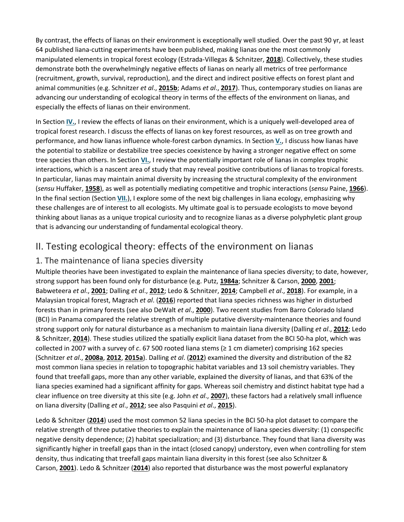By contrast, the effects of lianas on their environment is exceptionally well studied. Over the past 90 yr, at least 64 published liana-cutting experiments have been published, making lianas one the most commonly manipulated elements in tropical forest ecology (Estrada-Villegas & Schnitzer, **[2018](https://nph.onlinelibrary.wiley.com/doi/full/10.1111/nph.15431#nph15431-bib-0041)**). Collectively, these studies demonstrate both the overwhelmingly negative effects of lianas on nearly all metrics of tree performance (recruitment, growth, survival, reproduction), and the direct and indirect positive effects on forest plant and animal communities (e.g. Schnitzer *et al*., **[2015b](https://nph.onlinelibrary.wiley.com/doi/full/10.1111/nph.15431#nph15431-bib-0132)**; Adams *et al*., **[2017](https://nph.onlinelibrary.wiley.com/doi/full/10.1111/nph.15431#nph15431-bib-0001)**). Thus, contemporary studies on lianas are advancing our understanding of ecological theory in terms of the effects of the environment on lianas, and especially the effects of lianas on their environment.

In Section **[IV.](https://nph.onlinelibrary.wiley.com/doi/full/10.1111/nph.15431#nph15431-sec-0009-title)**, I review the effects of lianas on their environment, which is a uniquely well-developed area of tropical forest research. I discuss the effects of lianas on key forest resources, as well as on tree growth and performance, and how lianas influence whole-forest carbon dynamics. In Section **[V.](https://nph.onlinelibrary.wiley.com/doi/full/10.1111/nph.15431#nph15431-sec-0013-title)**, I discuss how lianas have the potential to stabilize or destabilize tree species coexistence by having a stronger negative effect on some tree species than others. In Section **[VI.](https://nph.onlinelibrary.wiley.com/doi/full/10.1111/nph.15431#nph15431-sec-0015-title)**, I review the potentially important role of lianas in complex trophic interactions, which is a nascent area of study that may reveal positive contributions of lianas to tropical forests. In particular, lianas may maintain animal diversity by increasing the structural complexity of the environment (*sensu* Huffaker, **[1958](https://nph.onlinelibrary.wiley.com/doi/full/10.1111/nph.15431#nph15431-bib-0062)**), as well as potentially mediating competitive and trophic interactions (*sensu* Paine, **[1966](https://nph.onlinelibrary.wiley.com/doi/full/10.1111/nph.15431#nph15431-bib-0098)**). In the final section (Section **[VII.](https://nph.onlinelibrary.wiley.com/doi/full/10.1111/nph.15431#nph15431-sec-0016-title)**), I explore some of the next big challenges in liana ecology, emphasizing why these challenges are of interest to all ecologists. My ultimate goal is to persuade ecologists to move beyond thinking about lianas as a unique tropical curiosity and to recognize lianas as a diverse polyphyletic plant group that is advancing our understanding of fundamental ecological theory.

### II. Testing ecological theory: effects of the environment on lianas

#### 1. The maintenance of liana species diversity

Multiple theories have been investigated to explain the maintenance of liana species diversity; to date, however, strong support has been found only for disturbance (e.g. Putz, **[1984a](https://nph.onlinelibrary.wiley.com/doi/full/10.1111/nph.15431#nph15431-bib-0109)**; Schnitzer & Carson, **[2000](https://nph.onlinelibrary.wiley.com/doi/full/10.1111/nph.15431#nph15431-bib-0124)**, **[2001](https://nph.onlinelibrary.wiley.com/doi/full/10.1111/nph.15431#nph15431-bib-0125)**; Babweteera *et al*., **[2001](https://nph.onlinelibrary.wiley.com/doi/full/10.1111/nph.15431#nph15431-bib-0010)**; Dalling *et al*., **[2012](https://nph.onlinelibrary.wiley.com/doi/full/10.1111/nph.15431#nph15431-bib-0030)**; Ledo & Schnitzer, **[2014](https://nph.onlinelibrary.wiley.com/doi/full/10.1111/nph.15431#nph15431-bib-0084)**; Campbell *et al*., **[2018](https://nph.onlinelibrary.wiley.com/doi/full/10.1111/nph.15431#nph15431-bib-0021)**). For example, in a Malaysian tropical forest, Magrach *et al*. (**[2016](https://nph.onlinelibrary.wiley.com/doi/full/10.1111/nph.15431#nph15431-bib-0085)**) reported that liana species richness was higher in disturbed forests than in primary forests (see also DeWalt *et al*., **[2000](https://nph.onlinelibrary.wiley.com/doi/full/10.1111/nph.15431#nph15431-bib-0036)**). Two recent studies from Barro Colorado Island (BCI) in Panama compared the relative strength of multiple putative diversity-maintenance theories and found strong support only for natural disturbance as a mechanism to maintain liana diversity (Dalling *et al*., **[2012](https://nph.onlinelibrary.wiley.com/doi/full/10.1111/nph.15431#nph15431-bib-0030)**; Ledo & Schnitzer, **[2014](https://nph.onlinelibrary.wiley.com/doi/full/10.1111/nph.15431#nph15431-bib-0084)**). These studies utilized the spatially explicit liana dataset from the BCI 50-ha plot, which was collected in 2007 with a survey of *c*. 67 500 rooted liana stems (≥ 1 cm diameter) comprising 162 species (Schnitzer *et al*., **[2008a](https://nph.onlinelibrary.wiley.com/doi/full/10.1111/nph.15431#nph15431-bib-0133)**, **[2012](https://nph.onlinelibrary.wiley.com/doi/full/10.1111/nph.15431#nph15431-bib-0129)**, **[2015a](https://nph.onlinelibrary.wiley.com/doi/full/10.1111/nph.15431#nph15431-bib-0130)**). Dalling *et al*. (**[2012](https://nph.onlinelibrary.wiley.com/doi/full/10.1111/nph.15431#nph15431-bib-0030)**) examined the diversity and distribution of the 82 most common liana species in relation to topographic habitat variables and 13 soil chemistry variables. They found that treefall gaps, more than any other variable, explained the diversity of lianas, and that 63% of the liana species examined had a significant affinity for gaps. Whereas soil chemistry and distinct habitat type had a clear influence on tree diversity at this site (e.g. John *et al*., **[2007](https://nph.onlinelibrary.wiley.com/doi/full/10.1111/nph.15431#nph15431-bib-0071)**), these factors had a relatively small influence on liana diversity (Dalling *et al*., **[2012](https://nph.onlinelibrary.wiley.com/doi/full/10.1111/nph.15431#nph15431-bib-0030)**; see also Pasquini *et al*., **[2015](https://nph.onlinelibrary.wiley.com/doi/full/10.1111/nph.15431#nph15431-bib-0100)**).

Ledo & Schnitzer (**[2014](https://nph.onlinelibrary.wiley.com/doi/full/10.1111/nph.15431#nph15431-bib-0084)**) used the most common 52 liana species in the BCI 50-ha plot dataset to compare the relative strength of three putative theories to explain the maintenance of liana species diversity: (1) conspecific negative density dependence; (2) habitat specialization; and (3) disturbance. They found that liana diversity was significantly higher in treefall gaps than in the intact (closed canopy) understory, even when controlling for stem density, thus indicating that treefall gaps maintain liana diversity in this forest (see also Schnitzer & Carson, **[2001](https://nph.onlinelibrary.wiley.com/doi/full/10.1111/nph.15431#nph15431-bib-0125)**). Ledo & Schnitzer (**[2014](https://nph.onlinelibrary.wiley.com/doi/full/10.1111/nph.15431#nph15431-bib-0084)**) also reported that disturbance was the most powerful explanatory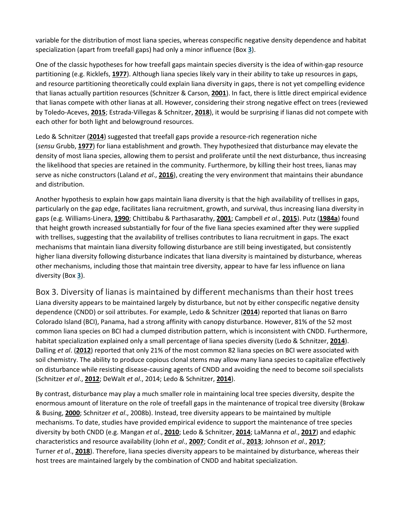variable for the distribution of most liana species, whereas conspecific negative density dependence and habitat specialization (apart from treefall gaps) had only a minor influence (Box **[3](https://nph.onlinelibrary.wiley.com/doi/full/10.1111/nph.15431#nph15431-fea-0003)**).

One of the classic hypotheses for how treefall gaps maintain species diversity is the idea of within-gap resource partitioning (e.g. Ricklefs, **[1977](https://nph.onlinelibrary.wiley.com/doi/full/10.1111/nph.15431#nph15431-bib-0114)**). Although liana species likely vary in their ability to take up resources in gaps, and resource partitioning theoretically could explain liana diversity in gaps, there is not yet compelling evidence that lianas actually partition resources (Schnitzer & Carson, **[2001](https://nph.onlinelibrary.wiley.com/doi/full/10.1111/nph.15431#nph15431-bib-0125)**). In fact, there is little direct empirical evidence that lianas compete with other lianas at all. However, considering their strong negative effect on trees (reviewed by Toledo-Aceves, **[2015](https://nph.onlinelibrary.wiley.com/doi/full/10.1111/nph.15431#nph15431-bib-0143)**; Estrada-Villegas & Schnitzer, **[2018](https://nph.onlinelibrary.wiley.com/doi/full/10.1111/nph.15431#nph15431-bib-0041)**), it would be surprising if lianas did not compete with each other for both light and belowground resources.

Ledo & Schnitzer (**[2014](https://nph.onlinelibrary.wiley.com/doi/full/10.1111/nph.15431#nph15431-bib-0084)**) suggested that treefall gaps provide a resource-rich regeneration niche (*sensu* Grubb, **[1977](https://nph.onlinelibrary.wiley.com/doi/full/10.1111/nph.15431#nph15431-bib-0052)**) for liana establishment and growth. They hypothesized that disturbance may elevate the density of most liana species, allowing them to persist and proliferate until the next disturbance, thus increasing the likelihood that species are retained in the community. Furthermore, by killing their host trees, lianas may serve as niche constructors (Laland *et al*., **[2016](https://nph.onlinelibrary.wiley.com/doi/full/10.1111/nph.15431#nph15431-bib-0079)**), creating the very environment that maintains their abundance and distribution.

Another hypothesis to explain how gaps maintain liana diversity is that the high availability of trellises in gaps, particularly on the gap edge, facilitates liana recruitment, growth, and survival, thus increasing liana diversity in gaps (e.g. Williams-Linera, **[1990](https://nph.onlinelibrary.wiley.com/doi/full/10.1111/nph.15431#nph15431-bib-0151)**; Chittibabu & Parthasarathy, **[2001](https://nph.onlinelibrary.wiley.com/doi/full/10.1111/nph.15431#nph15431-bib-0026)**; Campbell *et al*., **[2015](https://nph.onlinelibrary.wiley.com/doi/full/10.1111/nph.15431#nph15431-bib-0022)**). Putz (**[1984a](https://nph.onlinelibrary.wiley.com/doi/full/10.1111/nph.15431#nph15431-bib-0109)**) found that height growth increased substantially for four of the five liana species examined after they were supplied with trellises, suggesting that the availability of trellises contributes to liana recruitment in gaps. The exact mechanisms that maintain liana diversity following disturbance are still being investigated, but consistently higher liana diversity following disturbance indicates that liana diversity is maintained by disturbance, whereas other mechanisms, including those that maintain tree diversity, appear to have far less influence on liana diversity (Box **[3](https://nph.onlinelibrary.wiley.com/doi/full/10.1111/nph.15431#nph15431-fea-0003)**).

Box 3. Diversity of lianas is maintained by different mechanisms than their host trees Liana diversity appears to be maintained largely by disturbance, but not by either conspecific negative density dependence (CNDD) or soil attributes. For example, Ledo & Schnitzer (**[2014](https://nph.onlinelibrary.wiley.com/doi/full/10.1111/nph.15431#nph15431-bib-0084)**) reported that lianas on Barro Colorado Island (BCI), Panama, had a strong affinity with canopy disturbance. However, 81% of the 52 most common liana species on BCI had a clumped distribution pattern, which is inconsistent with CNDD. Furthermore, habitat specialization explained only a small percentage of liana species diversity (Ledo & Schnitzer, **[2014](https://nph.onlinelibrary.wiley.com/doi/full/10.1111/nph.15431#nph15431-bib-0084)**). Dalling *et al*. (**[2012](https://nph.onlinelibrary.wiley.com/doi/full/10.1111/nph.15431#nph15431-bib-0030)**) reported that only 21% of the most common 82 liana species on BCI were associated with soil chemistry. The ability to produce copious clonal stems may allow many liana species to capitalize effectively on disturbance while resisting disease-causing agents of CNDD and avoiding the need to become soil specialists (Schnitzer *et al*., **[2012](https://nph.onlinelibrary.wiley.com/doi/full/10.1111/nph.15431#nph15431-bib-0129)**; DeWalt *et al*., 2014; Ledo & Schnitzer, **[2014](https://nph.onlinelibrary.wiley.com/doi/full/10.1111/nph.15431#nph15431-bib-0084)**).

By contrast, disturbance may play a much smaller role in maintaining local tree species diversity, despite the enormous amount of literature on the role of treefall gaps in the maintenance of tropical tree diversity (Brokaw & Busing, **[2000](https://nph.onlinelibrary.wiley.com/doi/full/10.1111/nph.15431#nph15431-bib-0015)**; Schnitzer *et al*., 2008b). Instead, tree diversity appears to be maintained by multiple mechanisms. To date, studies have provided empirical evidence to support the maintenance of tree species diversity by both CNDD (e.g. Mangan *et al*., **[2010](https://nph.onlinelibrary.wiley.com/doi/full/10.1111/nph.15431#nph15431-bib-0086)**; Ledo & Schnitzer, **[2014](https://nph.onlinelibrary.wiley.com/doi/full/10.1111/nph.15431#nph15431-bib-0084)**; LaManna *et al*., **[2017](https://nph.onlinelibrary.wiley.com/doi/full/10.1111/nph.15431#nph15431-bib-0080)**) and edaphic characteristics and resource availability (John *et al*., **[2007](https://nph.onlinelibrary.wiley.com/doi/full/10.1111/nph.15431#nph15431-bib-0071)**; Condit *et al*., **[2013](https://nph.onlinelibrary.wiley.com/doi/full/10.1111/nph.15431#nph15431-bib-0029)**; Johnson *et al*., **[2017](https://nph.onlinelibrary.wiley.com/doi/full/10.1111/nph.15431#nph15431-bib-0072)**; Turner *et al*., **[2018](https://nph.onlinelibrary.wiley.com/doi/full/10.1111/nph.15431#nph15431-bib-0145)**). Therefore, liana species diversity appears to be maintained by disturbance, whereas their host trees are maintained largely by the combination of CNDD and habitat specialization.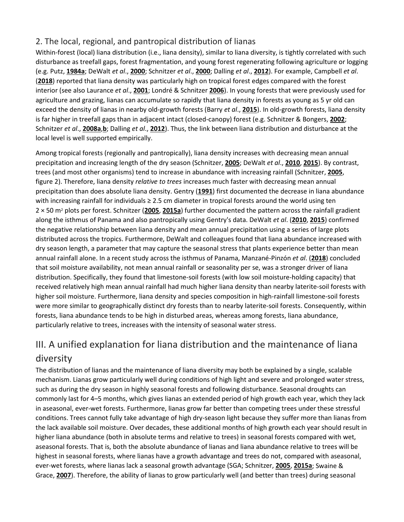### 2. The local, regional, and pantropical distribution of lianas

Within-forest (local) liana distribution (i.e., liana density), similar to liana diversity, is tightly correlated with such disturbance as treefall gaps, forest fragmentation, and young forest regenerating following agriculture or logging (e.g. Putz, **[1984a](https://nph.onlinelibrary.wiley.com/doi/full/10.1111/nph.15431#nph15431-bib-0109)**; DeWalt *et al*., **[2000](https://nph.onlinelibrary.wiley.com/doi/full/10.1111/nph.15431#nph15431-bib-0036)**; Schnitzer *et al*., **[2000](https://nph.onlinelibrary.wiley.com/doi/full/10.1111/nph.15431#nph15431-bib-0127)**; Dalling *et al*., **[2012](https://nph.onlinelibrary.wiley.com/doi/full/10.1111/nph.15431#nph15431-bib-0030)**). For example, Campbell *et al*. (**[2018](https://nph.onlinelibrary.wiley.com/doi/full/10.1111/nph.15431#nph15431-bib-0021)**) reported that liana density was particularly high on tropical forest edges compared with the forest interior (see also Laurance *et al*., **[2001](https://nph.onlinelibrary.wiley.com/doi/full/10.1111/nph.15431#nph15431-bib-0082)**; Londré & Schnitzer **[2006](https://nph.onlinelibrary.wiley.com/doi/full/10.1111/nph.15431#nph15431-bib-3006)**). In young forests that were previously used for agriculture and grazing, lianas can accumulate so rapidly that liana density in forests as young as 5 yr old can exceed the density of lianas in nearby old-growth forests (Barry *et al*., **[2015](https://nph.onlinelibrary.wiley.com/doi/full/10.1111/nph.15431#nph15431-bib-0013)**). In old-growth forests, liana density is far higher in treefall gaps than in adjacent intact (closed-canopy) forest (e.g. Schnitzer & Bongers, **[2002](https://nph.onlinelibrary.wiley.com/doi/full/10.1111/nph.15431#nph15431-bib-0122)**; Schnitzer *et al*., **[2008a](https://nph.onlinelibrary.wiley.com/doi/full/10.1111/nph.15431#nph15431-bib-0133)**,**[b](https://nph.onlinelibrary.wiley.com/doi/full/10.1111/nph.15431#nph15431-bib-0131)**; Dalling *et al*., **[2012](https://nph.onlinelibrary.wiley.com/doi/full/10.1111/nph.15431#nph15431-bib-0030)**). Thus, the link between liana distribution and disturbance at the local level is well supported empirically.

Among tropical forests (regionally and pantropically), liana density increases with decreasing mean annual precipitation and increasing length of the dry season (Schnitzer, **[2005](https://nph.onlinelibrary.wiley.com/doi/full/10.1111/nph.15431#nph15431-bib-0119)**; DeWalt *et al*., **[2010](https://nph.onlinelibrary.wiley.com/doi/full/10.1111/nph.15431#nph15431-bib-0035)**, **[2015](https://nph.onlinelibrary.wiley.com/doi/full/10.1111/nph.15431#nph15431-bib-0034)**). By contrast, trees (and most other organisms) tend to increase in abundance with increasing rainfall (Schnitzer, **[2005](https://nph.onlinelibrary.wiley.com/doi/full/10.1111/nph.15431#nph15431-bib-0119)**, figure 2). Therefore, liana density *relative to trees* increases much faster with decreasing mean annual precipitation than does absolute liana density. Gentry (**[1991](https://nph.onlinelibrary.wiley.com/doi/full/10.1111/nph.15431#nph15431-bib-0045)**) first documented the decrease in liana abundance with increasing rainfall for individuals ≥ 2.5 cm diameter in tropical forests around the world using ten 2 × 50 m2 plots per forest. Schnitzer (**[2005](https://nph.onlinelibrary.wiley.com/doi/full/10.1111/nph.15431#nph15431-bib-0119)**, **[2015a](https://nph.onlinelibrary.wiley.com/doi/full/10.1111/nph.15431#nph15431-bib-0120)**) further documented the pattern across the rainfall gradient along the isthmus of Panama and also pantropically using Gentry's data. DeWalt *et al*. (**[2010](https://nph.onlinelibrary.wiley.com/doi/full/10.1111/nph.15431#nph15431-bib-0035)**, **[2015](https://nph.onlinelibrary.wiley.com/doi/full/10.1111/nph.15431#nph15431-bib-0034)**) confirmed the negative relationship between liana density and mean annual precipitation using a series of large plots distributed across the tropics. Furthermore, DeWalt and colleagues found that liana abundance increased with dry season length, a parameter that may capture the seasonal stress that plants experience better than mean annual rainfall alone. In a recent study across the isthmus of Panama, Manzané-Pinzón *et al*. (**[2018](https://nph.onlinelibrary.wiley.com/doi/full/10.1111/nph.15431#nph15431-bib-0087)**) concluded that soil moisture availability, not mean annual rainfall or seasonality per se, was a stronger driver of liana distribution. Specifically, they found that limestone-soil forests (with low soil moisture-holding capacity) that received relatively high mean annual rainfall had much higher liana density than nearby laterite-soil forests with higher soil moisture. Furthermore, liana density and species composition in high-rainfall limestone-soil forests were more similar to geographically distinct dry forests than to nearby laterite-soil forests. Consequently, within forests, liana abundance tends to be high in disturbed areas, whereas among forests, liana abundance, particularly relative to trees, increases with the intensity of seasonal water stress.

# III. A unified explanation for liana distribution and the maintenance of liana diversity

The distribution of lianas and the maintenance of liana diversity may both be explained by a single, scalable mechanism. Lianas grow particularly well during conditions of high light and severe and prolonged water stress, such as during the dry season in highly seasonal forests and following disturbance. Seasonal droughts can commonly last for 4–5 months, which gives lianas an extended period of high growth each year, which they lack in aseasonal, ever-wet forests. Furthermore, lianas grow far better than competing trees under these stressful conditions. Trees cannot fully take advantage of high dry-season light because they suffer more than lianas from the lack available soil moisture. Over decades, these additional months of high growth each year should result in higher liana abundance (both in absolute terms and relative to trees) in seasonal forests compared with wet, aseasonal forests. That is, both the absolute abundance of lianas and liana abundance relative to trees will be highest in seasonal forests, where lianas have a growth advantage and trees do not, compared with aseasonal, ever-wet forests, where lianas lack a seasonal growth advantage (SGA; Schnitzer, **[2005](https://nph.onlinelibrary.wiley.com/doi/full/10.1111/nph.15431#nph15431-bib-0119)**, **[2015a](https://nph.onlinelibrary.wiley.com/doi/full/10.1111/nph.15431#nph15431-bib-0120)**; Swaine & Grace, **[2007](https://nph.onlinelibrary.wiley.com/doi/full/10.1111/nph.15431#nph15431-bib-0138)**). Therefore, the ability of lianas to grow particularly well (and better than trees) during seasonal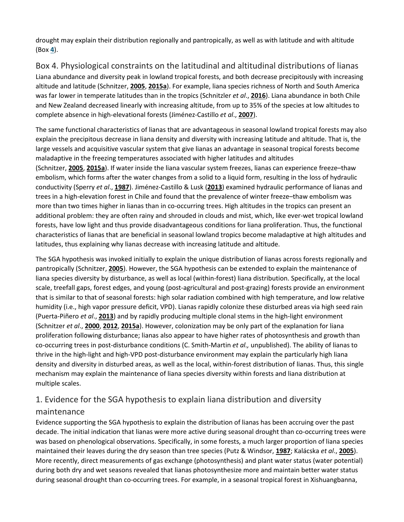drought may explain their distribution regionally and pantropically, as well as with latitude and with altitude (Box **[4](https://nph.onlinelibrary.wiley.com/doi/full/10.1111/nph.15431#nph15431-fea-0004)**).

Box 4. Physiological constraints on the latitudinal and altitudinal distributions of lianas Liana abundance and diversity peak in lowland tropical forests, and both decrease precipitously with increasing altitude and latitude (Schnitzer, **[2005](https://nph.onlinelibrary.wiley.com/doi/full/10.1111/nph.15431#nph15431-bib-0119)**, **[2015a](https://nph.onlinelibrary.wiley.com/doi/full/10.1111/nph.15431#nph15431-bib-0120)**). For example, liana species richness of North and South America was far lower in temperate latitudes than in the tropics (Schnitzler *et al*., **[2016](https://nph.onlinelibrary.wiley.com/doi/full/10.1111/nph.15431#nph15431-bib-0135)**). Liana abundance in both Chile and New Zealand decreased linearly with increasing altitude, from up to 35% of the species at low altitudes to complete absence in high-elevational forests (Jiménez-Castillo *et al*., **[2007](https://nph.onlinelibrary.wiley.com/doi/full/10.1111/nph.15431#nph15431-bib-0070)**).

The same functional characteristics of lianas that are advantageous in seasonal lowland tropical forests may also explain the precipitous decrease in liana density and diversity with increasing latitude and altitude. That is, the large vessels and acquisitive vascular system that give lianas an advantage in seasonal tropical forests become maladaptive in the freezing temperatures associated with higher latitudes and altitudes (Schnitzer, **[2005](https://nph.onlinelibrary.wiley.com/doi/full/10.1111/nph.15431#nph15431-bib-0119)**, **[2015a](https://nph.onlinelibrary.wiley.com/doi/full/10.1111/nph.15431#nph15431-bib-0120)**). If water inside the liana vascular system freezes, lianas can experience freeze–thaw embolism, which forms after the water changes from a solid to a liquid form, resulting in the loss of hydraulic conductivity (Sperry *et al*., **[1987](https://nph.onlinelibrary.wiley.com/doi/full/10.1111/nph.15431#nph15431-bib-0136)**). Jiménez-Castillo & Lusk (**[2013](https://nph.onlinelibrary.wiley.com/doi/full/10.1111/nph.15431#nph15431-bib-0069)**) examined hydraulic performance of lianas and trees in a high-elevation forest in Chile and found that the prevalence of winter freeze–thaw embolism was more than two times higher in lianas than in co-occurring trees. High altitudes in the tropics can present an additional problem: they are often rainy and shrouded in clouds and mist, which, like ever-wet tropical lowland forests, have low light and thus provide disadvantageous conditions for liana proliferation. Thus, the functional characteristics of lianas that are beneficial in seasonal lowland tropics become maladaptive at high altitudes and latitudes, thus explaining why lianas decrease with increasing latitude and altitude.

The SGA hypothesis was invoked initially to explain the unique distribution of lianas across forests regionally and pantropically (Schnitzer, **[2005](https://nph.onlinelibrary.wiley.com/doi/full/10.1111/nph.15431#nph15431-bib-0119)**). However, the SGA hypothesis can be extended to explain the maintenance of liana species diversity by disturbance, as well as local (within-forest) liana distribution. Specifically, at the local scale, treefall gaps, forest edges, and young (post-agricultural and post-grazing) forests provide an environment that is similar to that of seasonal forests: high solar radiation combined with high temperature, and low relative humidity (i.e., high vapor pressure deficit, VPD). Lianas rapidly colonize these disturbed areas via high seed rain (Puerta-Piñero *et al*., **[2013](https://nph.onlinelibrary.wiley.com/doi/full/10.1111/nph.15431#nph15431-bib-0107)**) and by rapidly producing multiple clonal stems in the high-light environment (Schnitzer *et al*., **[2000](https://nph.onlinelibrary.wiley.com/doi/full/10.1111/nph.15431#nph15431-bib-0127)**, **[2012](https://nph.onlinelibrary.wiley.com/doi/full/10.1111/nph.15431#nph15431-bib-0129)**, **[2015a](https://nph.onlinelibrary.wiley.com/doi/full/10.1111/nph.15431#nph15431-bib-0130)**). However, colonization may be only part of the explanation for liana proliferation following disturbance; lianas also appear to have higher rates of photosynthesis and growth than co-occurring trees in post-disturbance conditions (C. Smith-Martin *et al.,* unpublished). The ability of lianas to thrive in the high-light and high-VPD post-disturbance environment may explain the particularly high liana density and diversity in disturbed areas, as well as the local, within-forest distribution of lianas. Thus, this single mechanism may explain the maintenance of liana species diversity within forests and liana distribution at multiple scales.

## 1. Evidence for the SGA hypothesis to explain liana distribution and diversity

#### maintenance

Evidence supporting the SGA hypothesis to explain the distribution of lianas has been accruing over the past decade. The initial indication that lianas were more active during seasonal drought than co-occurring trees were was based on phenological observations. Specifically, in some forests, a much larger proportion of liana species maintained their leaves during the dry season than tree species (Putz & Windsor, **[1987](https://nph.onlinelibrary.wiley.com/doi/full/10.1111/nph.15431#nph15431-bib-0111)**; Kalácska *et al*., **[2005](https://nph.onlinelibrary.wiley.com/doi/full/10.1111/nph.15431#nph15431-bib-0075)**). More recently, direct measurements of gas exchange (photosynthesis) and plant water status (water potential) during both dry and wet seasons revealed that lianas photosynthesize more and maintain better water status during seasonal drought than co-occurring trees. For example, in a seasonal tropical forest in Xishuangbanna,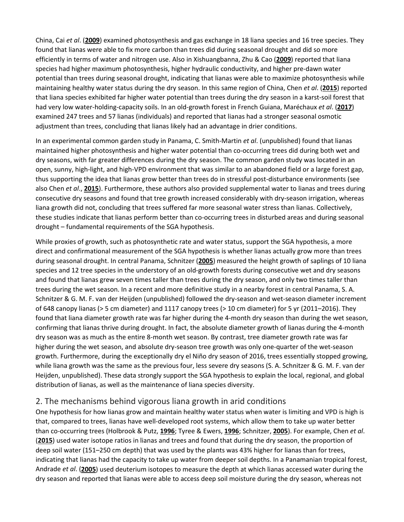China, Cai *et al*. (**[2009](https://nph.onlinelibrary.wiley.com/doi/full/10.1111/nph.15431#nph15431-bib-0019)**) examined photosynthesis and gas exchange in 18 liana species and 16 tree species. They found that lianas were able to fix more carbon than trees did during seasonal drought and did so more efficiently in terms of water and nitrogen use. Also in Xishuangbanna, Zhu & Cao (**[2009](https://nph.onlinelibrary.wiley.com/doi/full/10.1111/nph.15431#nph15431-bib-0156)**) reported that liana species had higher maximum photosynthesis, higher hydraulic conductivity, and higher pre-dawn water potential than trees during seasonal drought, indicating that lianas were able to maximize photosynthesis while maintaining healthy water status during the dry season. In this same region of China, Chen *et al*. (**[2015](https://nph.onlinelibrary.wiley.com/doi/full/10.1111/nph.15431#nph15431-bib-0024)**) reported that liana species exhibited far higher water potential than trees during the dry season in a karst-soil forest that had very low water-holding-capacity soils. In an old-growth forest in French Guiana, Maréchaux *et al*. (**[2017](https://nph.onlinelibrary.wiley.com/doi/full/10.1111/nph.15431#nph15431-bib-0088)**) examined 247 trees and 57 lianas (individuals) and reported that lianas had a stronger seasonal osmotic adjustment than trees, concluding that lianas likely had an advantage in drier conditions.

In an experimental common garden study in Panama, C. Smith-Martin *et al*. (unpublished) found that lianas maintained higher photosynthesis and higher water potential than co-occurring trees did during both wet and dry seasons, with far greater differences during the dry season. The common garden study was located in an open, sunny, high-light, and high-VPD environment that was similar to an abandoned field or a large forest gap, thus supporting the idea that lianas grow better than trees do in stressful post-disturbance environments (see also Chen *et al*., **[2015](https://nph.onlinelibrary.wiley.com/doi/full/10.1111/nph.15431#nph15431-bib-0024)**). Furthermore, these authors also provided supplemental water to lianas and trees during consecutive dry seasons and found that tree growth increased considerably with dry-season irrigation, whereas liana growth did not, concluding that trees suffered far more seasonal water stress than lianas. Collectively, these studies indicate that lianas perform better than co-occurring trees in disturbed areas and during seasonal drought – fundamental requirements of the SGA hypothesis.

While proxies of growth, such as photosynthetic rate and water status, support the SGA hypothesis, a more direct and confirmational measurement of the SGA hypothesis is whether lianas actually grow more than trees during seasonal drought. In central Panama, Schnitzer (**[2005](https://nph.onlinelibrary.wiley.com/doi/full/10.1111/nph.15431#nph15431-bib-0119)**) measured the height growth of saplings of 10 liana species and 12 tree species in the understory of an old-growth forests during consecutive wet and dry seasons and found that lianas grew seven times taller than trees during the dry season, and only two times taller than trees during the wet season. In a recent and more definitive study in a nearby forest in central Panama, S. A. Schnitzer & G. M. F. van der Heijden (unpublished) followed the dry-season and wet-season diameter increment of 648 canopy lianas (> 5 cm diameter) and 1117 canopy trees (> 10 cm diameter) for 5 yr (2011–2016). They found that liana diameter growth rate was far higher during the 4-month dry season than during the wet season, confirming that lianas thrive during drought. In fact, the absolute diameter growth of lianas during the 4-month dry season was as much as the entire 8-month wet season. By contrast, tree diameter growth rate was far higher during the wet season, and absolute dry-season tree growth was only one-quarter of the wet-season growth. Furthermore, during the exceptionally dry el Niño dry season of 2016, trees essentially stopped growing, while liana growth was the same as the previous four, less severe dry seasons (S. A. Schnitzer & G. M. F. van der Heijden, unpublished). These data strongly support the SGA hypothesis to explain the local, regional, and global distribution of lianas, as well as the maintenance of liana species diversity.

#### 2. The mechanisms behind vigorous liana growth in arid conditions

One hypothesis for how lianas grow and maintain healthy water status when water is limiting and VPD is high is that, compared to trees, lianas have well-developed root systems, which allow them to take up water better than co-occurring trees (Holbrook & Putz, **[1996](https://nph.onlinelibrary.wiley.com/doi/full/10.1111/nph.15431#nph15431-bib-0059)**; Tyree & Ewers, **[1996](https://nph.onlinelibrary.wiley.com/doi/full/10.1111/nph.15431#nph15431-bib-0147)**; Schnitzer, **[2005](https://nph.onlinelibrary.wiley.com/doi/full/10.1111/nph.15431#nph15431-bib-0119)**). For example, Chen *et al*. (**[2015](https://nph.onlinelibrary.wiley.com/doi/full/10.1111/nph.15431#nph15431-bib-0024)**) used water isotope ratios in lianas and trees and found that during the dry season, the proportion of deep soil water (151–250 cm depth) that was used by the plants was 43% higher for lianas than for trees, indicating that lianas had the capacity to take up water from deeper soil depths. In a Panamanian tropical forest, Andrade *et al*. (**[2005](https://nph.onlinelibrary.wiley.com/doi/full/10.1111/nph.15431#nph15431-bib-0004)**) used deuterium isotopes to measure the depth at which lianas accessed water during the dry season and reported that lianas were able to access deep soil moisture during the dry season, whereas not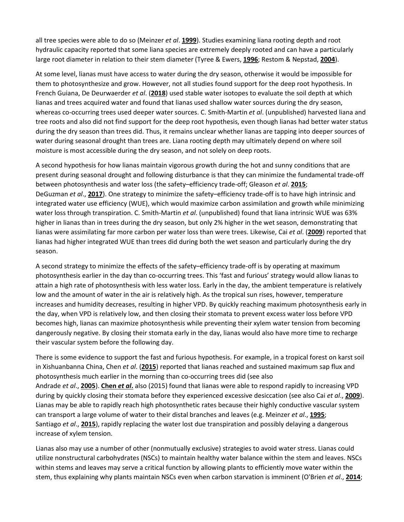all tree species were able to do so (Meinzer *et al*. **[1999](https://nph.onlinelibrary.wiley.com/doi/full/10.1111/nph.15431#nph15431-bib-3004)**). Studies examining liana rooting depth and root hydraulic capacity reported that some liana species are extremely deeply rooted and can have a particularly large root diameter in relation to their stem diameter (Tyree & Ewers, **[1996](https://nph.onlinelibrary.wiley.com/doi/full/10.1111/nph.15431#nph15431-bib-0147)**; Restom & Nepstad, **[2004](https://nph.onlinelibrary.wiley.com/doi/full/10.1111/nph.15431#nph15431-bib-0113)**).

At some level, lianas must have access to water during the dry season, otherwise it would be impossible for them to photosynthesize and grow. However, not all studies found support for the deep root hypothesis. In French Guiana, De Deurwaerder *et al*. (**[2018](https://nph.onlinelibrary.wiley.com/doi/full/10.1111/nph.15431#nph15431-bib-0032)**) used stable water isotopes to evaluate the soil depth at which lianas and trees acquired water and found that lianas used shallow water sources during the dry season, whereas co-occurring trees used deeper water sources. C. Smith-Martin *et al*. (unpublished) harvested liana and tree roots and also did not find support for the deep root hypothesis, even though lianas had better water status during the dry season than trees did. Thus, it remains unclear whether lianas are tapping into deeper sources of water during seasonal drought than trees are. Liana rooting depth may ultimately depend on where soil moisture is most accessible during the dry season, and not solely on deep roots.

A second hypothesis for how lianas maintain vigorous growth during the hot and sunny conditions that are present during seasonal drought and following disturbance is that they can minimize the fundamental trade-off between photosynthesis and water loss (the safety–efficiency trade-off; Gleason *et al*. **[2015](https://nph.onlinelibrary.wiley.com/doi/full/10.1111/nph.15431#nph15431-bib-3001)**; DeGuzman *et al*., **[2017](https://nph.onlinelibrary.wiley.com/doi/full/10.1111/nph.15431#nph15431-bib-0033)**). One strategy to minimize the safety–efficiency trade-off is to have high intrinsic and integrated water use efficiency (WUE), which would maximize carbon assimilation and growth while minimizing water loss through transpiration. C. Smith-Martin *et al*. (unpublished) found that liana intrinsic WUE was 63% higher in lianas than in trees during the dry season, but only 2% higher in the wet season, demonstrating that lianas were assimilating far more carbon per water loss than were trees. Likewise, Cai *et al*. (**[2009](https://nph.onlinelibrary.wiley.com/doi/full/10.1111/nph.15431#nph15431-bib-0019)**) reported that lianas had higher integrated WUE than trees did during both the wet season and particularly during the dry season.

A second strategy to minimize the effects of the safety–efficiency trade-off is by operating at maximum photosynthesis earlier in the day than co-occurring trees. This 'fast and furious' strategy would allow lianas to attain a high rate of photosynthesis with less water loss. Early in the day, the ambient temperature is relatively low and the amount of water in the air is relatively high. As the tropical sun rises, however, temperature increases and humidity decreases, resulting in higher VPD. By quickly reaching maximum photosynthesis early in the day, when VPD is relatively low, and then closing their stomata to prevent excess water loss before VPD becomes high, lianas can maximize photosynthesis while preventing their xylem water tension from becoming dangerously negative. By closing their stomata early in the day, lianas would also have more time to recharge their vascular system before the following day.

There is some evidence to support the fast and furious hypothesis. For example, in a tropical forest on karst soil in Xishuanbanna China, Chen *et al*. (**[2015](https://nph.onlinelibrary.wiley.com/doi/full/10.1111/nph.15431#nph15431-bib-0024)**) reported that lianas reached and sustained maximum sap flux and photosynthesis much earlier in the morning than co-occurring trees did (see also Andrade *et al*., **[2005](https://nph.onlinelibrary.wiley.com/doi/full/10.1111/nph.15431#nph15431-bib-0004)**). **[Chen](https://nph.onlinelibrary.wiley.com/doi/full/10.1111/nph.15431#nph15431-bib-0024)** *et al***.** also (2015) found that lianas were able to respond rapidly to increasing VPD during by quickly closing their stomata before they experienced excessive desiccation (see also Cai *et al*., **[2009](https://nph.onlinelibrary.wiley.com/doi/full/10.1111/nph.15431#nph15431-bib-0019)**). Lianas may be able to rapidly reach high photosynthetic rates because their highly conductive vascular system can transport a large volume of water to their distal branches and leaves (e.g. Meinzer *et al*., **[1995](https://nph.onlinelibrary.wiley.com/doi/full/10.1111/nph.15431#nph15431-bib-0092)**; Santiago *et al*., **[2015](https://nph.onlinelibrary.wiley.com/doi/full/10.1111/nph.15431#nph15431-bib-0117)**), rapidly replacing the water lost due transpiration and possibly delaying a dangerous increase of xylem tension.

Lianas also may use a number of other (nonmutually exclusive) strategies to avoid water stress. Lianas could utilize nonstructural carbohydrates (NSCs) to maintain healthy water balance within the stem and leaves. NSCs within stems and leaves may serve a critical function by allowing plants to efficiently move water within the stem, thus explaining why plants maintain NSCs even when carbon starvation is imminent (O'Brien *et al*., **[2014](https://nph.onlinelibrary.wiley.com/doi/full/10.1111/nph.15431#nph15431-bib-0096)**;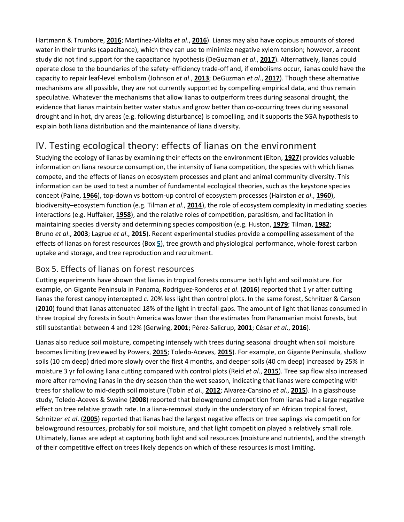Hartmann & Trumbore, **[2016](https://nph.onlinelibrary.wiley.com/doi/full/10.1111/nph.15431#nph15431-bib-0056)**; Martínez-Vilalta *et al*., **[2016](https://nph.onlinelibrary.wiley.com/doi/full/10.1111/nph.15431#nph15431-bib-0091)**). Lianas may also have copious amounts of stored water in their trunks (capacitance), which they can use to minimize negative xylem tension; however, a recent study did not find support for the capacitance hypothesis (DeGuzman *et al*., **[2017](https://nph.onlinelibrary.wiley.com/doi/full/10.1111/nph.15431#nph15431-bib-0033)**). Alternatively, lianas could operate close to the boundaries of the safety–efficiency trade-off and, if embolisms occur, lianas could have the capacity to repair leaf-level embolism (Johnson *et al*., **[2013](https://nph.onlinelibrary.wiley.com/doi/full/10.1111/nph.15431#nph15431-bib-0073)**; DeGuzman *et al*., **[2017](https://nph.onlinelibrary.wiley.com/doi/full/10.1111/nph.15431#nph15431-bib-0033)**). Though these alternative mechanisms are all possible, they are not currently supported by compelling empirical data, and thus remain speculative. Whatever the mechanisms that allow lianas to outperform trees during seasonal drought, the evidence that lianas maintain better water status and grow better than co-occurring trees during seasonal drought and in hot, dry areas (e.g. following disturbance) is compelling, and it supports the SGA hypothesis to explain both liana distribution and the maintenance of liana diversity.

# IV. Testing ecological theory: effects of lianas on the environment

Studying the ecology of lianas by examining their effects on the environment (Elton, **[1927](https://nph.onlinelibrary.wiley.com/doi/full/10.1111/nph.15431#nph15431-bib-0040)**) provides valuable information on liana resource consumption, the intensity of liana competition, the species with which lianas compete, and the effects of lianas on ecosystem processes and plant and animal community diversity. This information can be used to test a number of fundamental ecological theories, such as the keystone species concept (Paine, **[1966](https://nph.onlinelibrary.wiley.com/doi/full/10.1111/nph.15431#nph15431-bib-0098)**), top-down vs bottom-up control of ecosystem processes (Hairston *et al*., **[1960](https://nph.onlinelibrary.wiley.com/doi/full/10.1111/nph.15431#nph15431-bib-0053)**), biodiversity–ecosystem function (e.g. Tilman *et al*., **[2014](https://nph.onlinelibrary.wiley.com/doi/full/10.1111/nph.15431#nph15431-bib-0141)**), the role of ecosystem complexity in mediating species interactions (e.g. Huffaker, **[1958](https://nph.onlinelibrary.wiley.com/doi/full/10.1111/nph.15431#nph15431-bib-0062)**), and the relative roles of competition, parasitism, and facilitation in maintaining species diversity and determining species composition (e.g. Huston, **[1979](https://nph.onlinelibrary.wiley.com/doi/full/10.1111/nph.15431#nph15431-bib-0063)**; Tilman, **[1982](https://nph.onlinelibrary.wiley.com/doi/full/10.1111/nph.15431#nph15431-bib-0140)**; Bruno *et al*., **[2003](https://nph.onlinelibrary.wiley.com/doi/full/10.1111/nph.15431#nph15431-bib-0017)**; Lagrue *et al*., **[2015](https://nph.onlinelibrary.wiley.com/doi/full/10.1111/nph.15431#nph15431-bib-0078)**). Recent experimental studies provide a compelling assessment of the effects of lianas on forest resources (Box **[5](https://nph.onlinelibrary.wiley.com/doi/full/10.1111/nph.15431#nph15431-fea-0005)**), tree growth and physiological performance, whole-forest carbon uptake and storage, and tree reproduction and recruitment.

### Box 5. Effects of lianas on forest resources

Cutting experiments have shown that lianas in tropical forests consume both light and soil moisture. For example, on Gigante Peninsula in Panama, Rodriguez-Ronderos *et al*. (**[2016](https://nph.onlinelibrary.wiley.com/doi/full/10.1111/nph.15431#nph15431-bib-0115)**) reported that 1 yr after cutting lianas the forest canopy intercepted *c*. 20% less light than control plots. In the same forest, Schnitzer & Carson (**[2010](https://nph.onlinelibrary.wiley.com/doi/full/10.1111/nph.15431#nph15431-bib-0126)**) found that lianas attenuated 18% of the light in treefall gaps. The amount of light that lianas consumed in three tropical dry forests in South America was lower than the estimates from Panamanian moist forests, but still substantial: between 4 and 12% (Gerwing, **[2001](https://nph.onlinelibrary.wiley.com/doi/full/10.1111/nph.15431#nph15431-bib-0046)**; Pérez-Salicrup, **[2001](https://nph.onlinelibrary.wiley.com/doi/full/10.1111/nph.15431#nph15431-bib-0103)**; César *et al*., **[2016](https://nph.onlinelibrary.wiley.com/doi/full/10.1111/nph.15431#nph15431-bib-0023)**).

Lianas also reduce soil moisture, competing intensely with trees during seasonal drought when soil moisture becomes limiting (reviewed by Powers, **[2015](https://nph.onlinelibrary.wiley.com/doi/full/10.1111/nph.15431#nph15431-bib-0106)**; Toledo-Aceves, **[2015](https://nph.onlinelibrary.wiley.com/doi/full/10.1111/nph.15431#nph15431-bib-0143)**). For example, on Gigante Peninsula, shallow soils (10 cm deep) dried more slowly over the first 4 months, and deeper soils (40 cm deep) increased by 25% in moisture 3 yr following liana cutting compared with control plots (Reid *et al*., **[2015](https://nph.onlinelibrary.wiley.com/doi/full/10.1111/nph.15431#nph15431-bib-0112)**). Tree sap flow also increased more after removing lianas in the dry season than the wet season, indicating that lianas were competing with trees for shallow to mid-depth soil moisture (Tobin *et al*., **[2012](https://nph.onlinelibrary.wiley.com/doi/full/10.1111/nph.15431#nph15431-bib-0142)**; Alvarez-Cansino *et al*., **[2015](https://nph.onlinelibrary.wiley.com/doi/full/10.1111/nph.15431#nph15431-bib-0002)**). In a glasshouse study, Toledo-Aceves & Swaine (**[2008](https://nph.onlinelibrary.wiley.com/doi/full/10.1111/nph.15431#nph15431-bib-0144)**) reported that belowground competition from lianas had a large negative effect on tree relative growth rate. In a liana-removal study in the understory of an African tropical forest, Schnitzer *et al*. (**[2005](https://nph.onlinelibrary.wiley.com/doi/full/10.1111/nph.15431#nph15431-bib-0128)**) reported that lianas had the largest negative effects on tree saplings via competition for belowground resources, probably for soil moisture, and that light competition played a relatively small role. Ultimately, lianas are adept at capturing both light and soil resources (moisture and nutrients), and the strength of their competitive effect on trees likely depends on which of these resources is most limiting.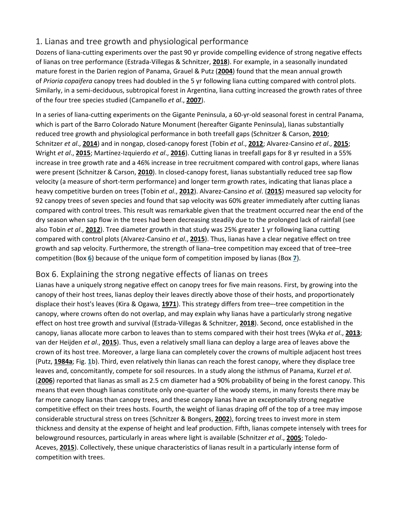### 1. Lianas and tree growth and physiological performance

Dozens of liana-cutting experiments over the past 90 yr provide compelling evidence of strong negative effects of lianas on tree performance (Estrada-Villegas & Schnitzer, **[2018](https://nph.onlinelibrary.wiley.com/doi/full/10.1111/nph.15431#nph15431-bib-0041)**). For example, in a seasonally inundated mature forest in the Darien region of Panama, Grauel & Putz (**[2004](https://nph.onlinelibrary.wiley.com/doi/full/10.1111/nph.15431#nph15431-bib-0050)**) found that the mean annual growth of *Prioria copaifera* canopy trees had doubled in the 5 yr following liana cutting compared with control plots. Similarly, in a semi-deciduous, subtropical forest in Argentina, liana cutting increased the growth rates of three of the four tree species studied (Campanello *et al*., **[2007](https://nph.onlinelibrary.wiley.com/doi/full/10.1111/nph.15431#nph15431-bib-0020)**).

In a series of liana-cutting experiments on the Gigante Peninsula, a 60-yr-old seasonal forest in central Panama, which is part of the Barro Colorado Nature Monument (hereafter Gigante Peninsula), lianas substantially reduced tree growth and physiological performance in both treefall gaps (Schnitzer & Carson, **[2010](https://nph.onlinelibrary.wiley.com/doi/full/10.1111/nph.15431#nph15431-bib-0126)**; Schnitzer *et al*., **[2014](https://nph.onlinelibrary.wiley.com/doi/full/10.1111/nph.15431#nph15431-bib-0134)**) and in nongap, closed-canopy forest (Tobin *et al*., **[2012](https://nph.onlinelibrary.wiley.com/doi/full/10.1111/nph.15431#nph15431-bib-0142)**; Alvarez-Cansino *et al*., **[2015](https://nph.onlinelibrary.wiley.com/doi/full/10.1111/nph.15431#nph15431-bib-0002)**; Wright *et al*., **[2015](https://nph.onlinelibrary.wiley.com/doi/full/10.1111/nph.15431#nph15431-bib-0152)**; Martínez-Izquierdo *et al*., **[2016](https://nph.onlinelibrary.wiley.com/doi/full/10.1111/nph.15431#nph15431-bib-0090)**). Cutting lianas in treefall gaps for 8 yr resulted in a 55% increase in tree growth rate and a 46% increase in tree recruitment compared with control gaps, where lianas were present (Schnitzer & Carson, **[2010](https://nph.onlinelibrary.wiley.com/doi/full/10.1111/nph.15431#nph15431-bib-0126)**). In closed-canopy forest, lianas substantially reduced tree sap flow velocity (a measure of short-term performance) and longer term growth rates, indicating that lianas place a heavy competitive burden on trees (Tobin *et al*., **[2012](https://nph.onlinelibrary.wiley.com/doi/full/10.1111/nph.15431#nph15431-bib-0142)**). Alvarez-Cansino *et al*. (**[2015](https://nph.onlinelibrary.wiley.com/doi/full/10.1111/nph.15431#nph15431-bib-0002)**) measured sap velocity for 92 canopy trees of seven species and found that sap velocity was 60% greater immediately after cutting lianas compared with control trees. This result was remarkable given that the treatment occurred near the end of the dry season when sap flow in the trees had been decreasing steadily due to the prolonged lack of rainfall (see also Tobin *et al*., **[2012](https://nph.onlinelibrary.wiley.com/doi/full/10.1111/nph.15431#nph15431-bib-0142)**). Tree diameter growth in that study was 25% greater 1 yr following liana cutting compared with control plots (Alvarez-Cansino *et al*., **[2015](https://nph.onlinelibrary.wiley.com/doi/full/10.1111/nph.15431#nph15431-bib-0002)**). Thus, lianas have a clear negative effect on tree growth and sap velocity. Furthermore, the strength of liana–tree competition may exceed that of tree–tree competition (Box **[6](https://nph.onlinelibrary.wiley.com/doi/full/10.1111/nph.15431#nph15431-fea-0006)**) because of the unique form of competition imposed by lianas (Box **[7](https://nph.onlinelibrary.wiley.com/doi/full/10.1111/nph.15431#nph15431-fea-0007)**).

### Box 6. Explaining the strong negative effects of lianas on trees

Lianas have a uniquely strong negative effect on canopy trees for five main reasons. First, by growing into the canopy of their host trees, lianas deploy their leaves directly above those of their hosts, and proportionately displace their host's leaves (Kira & Ogawa, **[1971](https://nph.onlinelibrary.wiley.com/doi/full/10.1111/nph.15431#nph15431-bib-3005)**). This strategy differs from tree–-tree competition in the canopy, where crowns often do not overlap, and may explain why lianas have a particularly strong negative effect on host tree growth and survival (Estrada-Villegas & Schnitzer, **[2018](https://nph.onlinelibrary.wiley.com/doi/full/10.1111/nph.15431#nph15431-bib-0041)**). Second, once established in the canopy, lianas allocate more carbon to leaves than to stems compared with their host trees (Wyka *et al*., **[2013](https://nph.onlinelibrary.wiley.com/doi/full/10.1111/nph.15431#nph15431-bib-0153)**; van der Heijden *et al*., **[2015](https://nph.onlinelibrary.wiley.com/doi/full/10.1111/nph.15431#nph15431-bib-0057)**). Thus, even a relatively small liana can deploy a large area of leaves above the crown of its host tree. Moreover, a large liana can completely cover the crowns of multiple adjacent host trees (Putz, **[1984a](https://nph.onlinelibrary.wiley.com/doi/full/10.1111/nph.15431#nph15431-bib-0109)**; Fig. **[1](https://nph.onlinelibrary.wiley.com/doi/full/10.1111/nph.15431#nph15431-fig-0001)**b). Third, even relatively thin lianas can reach the forest canopy, where they displace tree leaves and, concomitantly, compete for soil resources. In a study along the isthmus of Panama, Kurzel *et al*. (**[2006](https://nph.onlinelibrary.wiley.com/doi/full/10.1111/nph.15431#nph15431-bib-0077)**) reported that lianas as small as 2.5 cm diameter had a 90% probability of being in the forest canopy. This means that even though lianas constitute only one-quarter of the woody stems, in many forests there may be far more canopy lianas than canopy trees, and these canopy lianas have an exceptionally strong negative competitive effect on their trees hosts. Fourth, the weight of lianas draping off of the top of a tree may impose considerable structural stress on trees (Schnitzer & Bongers, **[2002](https://nph.onlinelibrary.wiley.com/doi/full/10.1111/nph.15431#nph15431-bib-0122)**), forcing trees to invest more in stem thickness and density at the expense of height and leaf production. Fifth, lianas compete intensely with trees for belowground resources, particularly in areas where light is available (Schnitzer *et al*., **[2005](https://nph.onlinelibrary.wiley.com/doi/full/10.1111/nph.15431#nph15431-bib-0128)**; Toledo-Aceves, **[2015](https://nph.onlinelibrary.wiley.com/doi/full/10.1111/nph.15431#nph15431-bib-0143)**). Collectively, these unique characteristics of lianas result in a particularly intense form of competition with trees.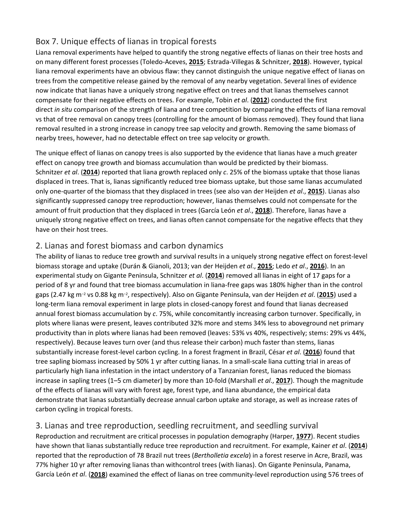### Box 7. Unique effects of lianas in tropical forests

Liana removal experiments have helped to quantify the strong negative effects of lianas on their tree hosts and on many different forest processes (Toledo-Aceves, **[2015](https://nph.onlinelibrary.wiley.com/doi/full/10.1111/nph.15431#nph15431-bib-0143)**; Estrada-Villegas & Schnitzer, **[2018](https://nph.onlinelibrary.wiley.com/doi/full/10.1111/nph.15431#nph15431-bib-0041)**). However, typical liana removal experiments have an obvious flaw: they cannot distinguish the unique negative effect of lianas on trees from the competitive release gained by the removal of any nearby vegetation. Several lines of evidence now indicate that lianas have a uniquely strong negative effect on trees and that lianas themselves cannot compensate for their negative effects on trees. For example, Tobin *et al*. (**[2012](https://nph.onlinelibrary.wiley.com/doi/full/10.1111/nph.15431#nph15431-bib-0142)**) conducted the first direct *in situ* comparison of the strength of liana and tree competition by comparing the effects of liana removal vs that of tree removal on canopy trees (controlling for the amount of biomass removed). They found that liana removal resulted in a strong increase in canopy tree sap velocity and growth. Removing the same biomass of nearby trees, however, had no detectable effect on tree sap velocity or growth.

The unique effect of lianas on canopy trees is also supported by the evidence that lianas have a much greater effect on canopy tree growth and biomass accumulation than would be predicted by their biomass. Schnitzer *et al*. (**[2014](https://nph.onlinelibrary.wiley.com/doi/full/10.1111/nph.15431#nph15431-bib-0134)**) reported that liana growth replaced only *c*. 25% of the biomass uptake that those lianas displaced in trees. That is, lianas significantly reduced tree biomass uptake, but those same lianas accumulated only one-quarter of the biomass that they displaced in trees (see also van der Heijden *et al*., **[2015](https://nph.onlinelibrary.wiley.com/doi/full/10.1111/nph.15431#nph15431-bib-0057)**). Lianas also significantly suppressed canopy tree reproduction; however, lianas themselves could not compensate for the amount of fruit production that they displaced in trees (García León *et al*., **[2018](https://nph.onlinelibrary.wiley.com/doi/full/10.1111/nph.15431#nph15431-bib-0043)**). Therefore, lianas have a uniquely strong negative effect on trees, and lianas often cannot compensate for the negative effects that they have on their host trees.

### 2. Lianas and forest biomass and carbon dynamics

The ability of lianas to reduce tree growth and survival results in a uniquely strong negative effect on forest-level biomass storage and uptake (Durán & Gianoli, 2013; van der Heijden *et al*., **[2015](https://nph.onlinelibrary.wiley.com/doi/full/10.1111/nph.15431#nph15431-bib-0057)**; Ledo *et al*., **[2016](https://nph.onlinelibrary.wiley.com/doi/full/10.1111/nph.15431#nph15431-bib-0083)**). In an experimental study on Gigante Peninsula, Schnitzer *et al*. (**[2014](https://nph.onlinelibrary.wiley.com/doi/full/10.1111/nph.15431#nph15431-bib-0134)**) removed all lianas in eight of 17 gaps for a period of 8 yr and found that tree biomass accumulation in liana-free gaps was 180% higher than in the control gaps (2.47 kg m−<sup>2</sup> vs 0.88 kg m−2, respectively). Also on Gigante Peninsula, van der Heijden *et al*. (**[2015](https://nph.onlinelibrary.wiley.com/doi/full/10.1111/nph.15431#nph15431-bib-0057)**) used a long-term liana removal experiment in large plots in closed-canopy forest and found that lianas decreased annual forest biomass accumulation by *c*. 75%, while concomitantly increasing carbon turnover. Specifically, in plots where lianas were present, leaves contributed 32% more and stems 34% less to aboveground net primary productivity than in plots where lianas had been removed (leaves: 53% vs 40%, respectively; stems: 29% vs 44%, respectively). Because leaves turn over (and thus release their carbon) much faster than stems, lianas substantially increase forest-level carbon cycling. In a forest fragment in Brazil, César *et al*. (**[2016](https://nph.onlinelibrary.wiley.com/doi/full/10.1111/nph.15431#nph15431-bib-0023)**) found that tree sapling biomass increased by 50% 1 yr after cutting lianas. In a small-scale liana cutting trial in areas of particularly high liana infestation in the intact understory of a Tanzanian forest, lianas reduced the biomass increase in sapling trees (1–5 cm diameter) by more than 10-fold (Marshall *et al*., **[2017](https://nph.onlinelibrary.wiley.com/doi/full/10.1111/nph.15431#nph15431-bib-0089)**). Though the magnitude of the effects of lianas will vary with forest age, forest type, and liana abundance, the empirical data demonstrate that lianas substantially decrease annual carbon uptake and storage, as well as increase rates of carbon cycling in tropical forests.

### 3. Lianas and tree reproduction, seedling recruitment, and seedling survival

Reproduction and recruitment are critical processes in population demography (Harper, **[1977](https://nph.onlinelibrary.wiley.com/doi/full/10.1111/nph.15431#nph15431-bib-0055)**). Recent studies have shown that lianas substantially reduce tree reproduction and recruitment. For example, Kainer *et al*. (**[2014](https://nph.onlinelibrary.wiley.com/doi/full/10.1111/nph.15431#nph15431-bib-0074)**) reported that the reproduction of 78 Brazil nut trees (*Bertholletia excela*) in a forest reserve in Acre, Brazil, was 77% higher 10 yr after removing lianas than withcontrol trees (with lianas). On Gigante Peninsula, Panama, García León *et al*. (**[2018](https://nph.onlinelibrary.wiley.com/doi/full/10.1111/nph.15431#nph15431-bib-0043)**) examined the effect of lianas on tree community-level reproduction using 576 trees of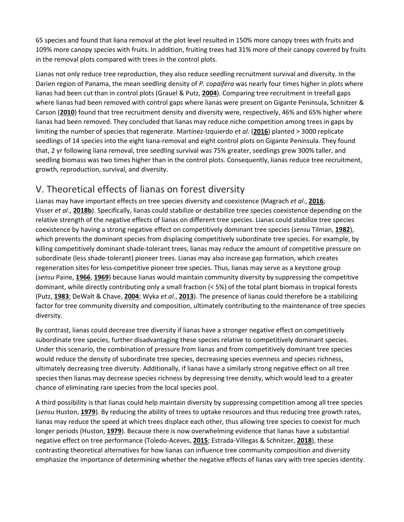65 species and found that liana removal at the plot level resulted in 150% more canopy trees with fruits and 109% more canopy species with fruits. In addition, fruiting trees had 31% more of their canopy covered by fruits in the removal plots compared with trees in the control plots.

Lianas not only reduce tree reproduction, they also reduce seedling recruitment survival and diversity. In the Darien region of Panama, the mean seedling density of *P. copaifera* was nearly four times higher in plots where lianas had been cut than in control plots (Grauel & Putz, **[2004](https://nph.onlinelibrary.wiley.com/doi/full/10.1111/nph.15431#nph15431-bib-0050)**). Comparing tree recruitment in treefall gaps where lianas had been removed with control gaps where lianas were present on Gigante Peninsula, Schnitzer & Carson (**[2010](https://nph.onlinelibrary.wiley.com/doi/full/10.1111/nph.15431#nph15431-bib-0126)**) found that tree recruitment density and diversity were, respectively, 46% and 65% higher where lianas had been removed. They concluded that lianas may reduce niche competition among trees in gaps by limiting the number of species that regenerate. Martínez-Izquierdo *et al*. (**[2016](https://nph.onlinelibrary.wiley.com/doi/full/10.1111/nph.15431#nph15431-bib-0090)**) planted > 3000 replicate seedlings of 14 species into the eight liana-removal and eight control plots on Gigante Peninsula. They found that, 2 yr following liana removal, tree seedling survival was 75% greater, seedlings grew 300% taller, and seedling biomass was two times higher than in the control plots. Consequently, lianas reduce tree recruitment, growth, reproduction, survival, and diversity.

# V. Theoretical effects of lianas on forest diversity

Lianas may have important effects on tree species diversity and coexistence (Magrach *et al*., **[2016](https://nph.onlinelibrary.wiley.com/doi/full/10.1111/nph.15431#nph15431-bib-0085)**; Visser *et al*., **[2018b](https://nph.onlinelibrary.wiley.com/doi/full/10.1111/nph.15431#nph15431-bib-0148)**). Specifically, lianas could stabilize or destabilize tree species coexistence depending on the relative strength of the negative effects of lianas on different tree species. Lianas could stabilize tree species coexistence by having a strong negative effect on competitively dominant tree species (*sensu* Tilman, **[1982](https://nph.onlinelibrary.wiley.com/doi/full/10.1111/nph.15431#nph15431-bib-0140)**), which prevents the dominant species from displacing competitively subordinate tree species. For example, by killing competitively dominant shade-tolerant trees, lianas may reduce the amount of competitive pressure on subordinate (less shade-tolerant) pioneer trees. Lianas may also increase gap formation, which creates regeneration sites for less-competitive pioneer tree species. Thus, lianas may serve as a keystone group (*sensu* Paine, **[1966](https://nph.onlinelibrary.wiley.com/doi/full/10.1111/nph.15431#nph15431-bib-0098)**, **[1969](https://nph.onlinelibrary.wiley.com/doi/full/10.1111/nph.15431#nph15431-bib-0099)**) because lianas would maintain community diversity by suppressing the competitive dominant, while directly contributing only a small fraction (< 5%) of the total plant biomass in tropical forests (Putz, **[1983](https://nph.onlinelibrary.wiley.com/doi/full/10.1111/nph.15431#nph15431-bib-0108)**; DeWalt & Chave, **[2004](https://nph.onlinelibrary.wiley.com/doi/full/10.1111/nph.15431#nph15431-bib-3003)**; Wyka *et al*., **[2013](https://nph.onlinelibrary.wiley.com/doi/full/10.1111/nph.15431#nph15431-bib-0153)**). The presence of lianas could therefore be a stabilizing factor for tree community diversity and composition, ultimately contributing to the maintenance of tree species diversity.

By contrast, lianas could decrease tree diversity if lianas have a stronger negative effect on competitively subordinate tree species, further disadvantaging these species relative to competitively dominant species. Under this scenario, the combination of pressure from lianas and from competitively dominant tree species would reduce the density of subordinate tree species, decreasing species evenness and species richness, ultimately decreasing tree diversity. Additionally, if lianas have a similarly strong negative effect on all tree species then lianas may decrease species richness by depressing tree density, which would lead to a greater chance of eliminating rare species from the local species pool.

A third possibility is that lianas could help maintain diversity by suppressing competition among all tree species (*sensu* Huston, **[1979](https://nph.onlinelibrary.wiley.com/doi/full/10.1111/nph.15431#nph15431-bib-0063)**). By reducing the ability of trees to uptake resources and thus reducing tree growth rates, lianas may reduce the speed at which trees displace each other, thus allowing tree species to coexist for much longer periods (Huston, **[1979](https://nph.onlinelibrary.wiley.com/doi/full/10.1111/nph.15431#nph15431-bib-0063)**). Because there is now overwhelming evidence that lianas have a substantial negative effect on tree performance (Toledo-Aceves, **[2015](https://nph.onlinelibrary.wiley.com/doi/full/10.1111/nph.15431#nph15431-bib-0143)**; Estrada-Villegas & Schnitzer, **[2018](https://nph.onlinelibrary.wiley.com/doi/full/10.1111/nph.15431#nph15431-bib-0041)**), these contrasting theoretical alternatives for how lianas can influence tree community composition and diversity emphasize the importance of determining whether the negative effects of lianas vary with tree species identity.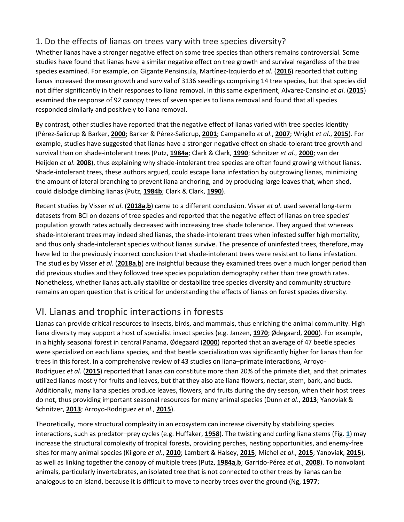### 1. Do the effects of lianas on trees vary with tree species diversity?

Whether lianas have a stronger negative effect on some tree species than others remains controversial. Some studies have found that lianas have a similar negative effect on tree growth and survival regardless of the tree species examined. For example, on Gigante Pensinsula, Martínez-Izquierdo *et al*. (**[2016](https://nph.onlinelibrary.wiley.com/doi/full/10.1111/nph.15431#nph15431-bib-0090)**) reported that cutting lianas increased the mean growth and survival of 3136 seedlings comprising 14 tree species, but that species did not differ significantly in their responses to liana removal. In this same experiment, Alvarez-Cansino *et al*. (**[2015](https://nph.onlinelibrary.wiley.com/doi/full/10.1111/nph.15431#nph15431-bib-0002)**) examined the response of 92 canopy trees of seven species to liana removal and found that all species responded similarly and positively to liana removal.

By contrast, other studies have reported that the negative effect of lianas varied with tree species identity (Pérez-Salicrup & Barker, **[2000](https://nph.onlinelibrary.wiley.com/doi/full/10.1111/nph.15431#nph15431-bib-0104)**; Barker & Pérez-Salicrup, **[2001](https://nph.onlinelibrary.wiley.com/doi/full/10.1111/nph.15431#nph15431-bib-0011)**; Campanello *et al*., **[2007](https://nph.onlinelibrary.wiley.com/doi/full/10.1111/nph.15431#nph15431-bib-0020)**; Wright *et al*., **[2015](https://nph.onlinelibrary.wiley.com/doi/full/10.1111/nph.15431#nph15431-bib-0152)**). For example, studies have suggested that lianas have a stronger negative effect on shade-tolerant tree growth and survival than on shade-intolerant trees (Putz, **[1984a](https://nph.onlinelibrary.wiley.com/doi/full/10.1111/nph.15431#nph15431-bib-0109)**; Clark & Clark, **[1990](https://nph.onlinelibrary.wiley.com/doi/full/10.1111/nph.15431#nph15431-bib-0027)**; Schnitzer *et al*., **[2000](https://nph.onlinelibrary.wiley.com/doi/full/10.1111/nph.15431#nph15431-bib-0127)**; van der Heijden *et al*. **[2008](https://nph.onlinelibrary.wiley.com/doi/full/10.1111/nph.15431#nph15431-bib-3002)**), thus explaining why shade-intolerant tree species are often found growing without lianas. Shade-intolerant trees, these authors argued, could escape liana infestation by outgrowing lianas, minimizing the amount of lateral branching to prevent liana anchoring, and by producing large leaves that, when shed, could dislodge climbing lianas (Putz, **[1984b](https://nph.onlinelibrary.wiley.com/doi/full/10.1111/nph.15431#nph15431-bib-0110)**; Clark & Clark, **[1990](https://nph.onlinelibrary.wiley.com/doi/full/10.1111/nph.15431#nph15431-bib-0027)**).

Recent studies by Visser *et al*. (**[2018a](https://nph.onlinelibrary.wiley.com/doi/full/10.1111/nph.15431#nph15431-bib-0149)**,**[b](https://nph.onlinelibrary.wiley.com/doi/full/10.1111/nph.15431#nph15431-bib-0148)**) came to a different conclusion. Visser *et al*. used several long-term datasets from BCI on dozens of tree species and reported that the negative effect of lianas on tree species' population growth rates actually decreased with increasing tree shade tolerance. They argued that whereas shade-intolerant trees may indeed shed lianas, the shade-intolerant trees when infested suffer high mortality, and thus only shade-intolerant species without lianas survive. The presence of uninfested trees, therefore, may have led to the previously incorrect conclusion that shade-intolerant trees were resistant to liana infestation. The studies by Visser *et al*. (**[2018a](https://nph.onlinelibrary.wiley.com/doi/full/10.1111/nph.15431#nph15431-bib-0149)**,**[b](https://nph.onlinelibrary.wiley.com/doi/full/10.1111/nph.15431#nph15431-bib-0148)**) are insightful because they examined trees over a much longer period than did previous studies and they followed tree species population demography rather than tree growth rates. Nonetheless, whether lianas actually stabilize or destabilize tree species diversity and community structure remains an open question that is critical for understanding the effects of lianas on forest species diversity.

# VI. Lianas and trophic interactions in forests

Lianas can provide critical resources to insects, birds, and mammals, thus enriching the animal community. High liana diversity may support a host of specialist insect species (e.g. Janzen, **[1970](https://nph.onlinelibrary.wiley.com/doi/full/10.1111/nph.15431#nph15431-bib-0068)**; Ødegaard, **[2000](https://nph.onlinelibrary.wiley.com/doi/full/10.1111/nph.15431#nph15431-bib-0097)**). For example, in a highly seasonal forest in central Panama, Ødegaard (**[2000](https://nph.onlinelibrary.wiley.com/doi/full/10.1111/nph.15431#nph15431-bib-0097)**) reported that an average of 47 beetle species were specialized on each liana species, and that beetle specialization was significantly higher for lianas than for trees in this forest. In a comprehensive review of 43 studies on liana–primate interactions, Arroyo-Rodriguez *et al*. (**[2015](https://nph.onlinelibrary.wiley.com/doi/full/10.1111/nph.15431#nph15431-bib-0007)**) reported that lianas can constitute more than 20% of the primate diet, and that primates utilized lianas mostly for fruits and leaves, but that they also ate liana flowers, nectar, stem, bark, and buds. Additionally, many liana species produce leaves, flowers, and fruits during the dry season, when their host trees do not, thus providing important seasonal resources for many animal species (Dunn *et al*., **[2013](https://nph.onlinelibrary.wiley.com/doi/full/10.1111/nph.15431#nph15431-bib-0038)**; Yanoviak & Schnitzer, **[2013](https://nph.onlinelibrary.wiley.com/doi/full/10.1111/nph.15431#nph15431-bib-0155)**; Arroyo-Rodriguez *et al*., **[2015](https://nph.onlinelibrary.wiley.com/doi/full/10.1111/nph.15431#nph15431-bib-0007)**).

Theoretically, more structural complexity in an ecosystem can increase diversity by stabilizing species interactions, such as predator–prey cycles (e.g. Huffaker, **[1958](https://nph.onlinelibrary.wiley.com/doi/full/10.1111/nph.15431#nph15431-bib-0062)**). The twisting and curling liana stems (Fig. **[1](https://nph.onlinelibrary.wiley.com/doi/full/10.1111/nph.15431#nph15431-fig-0001)**) may increase the structural complexity of tropical forests, providing perches, nesting opportunities, and enemy-free sites for many animal species (Kilgore *et al*., **[2010](https://nph.onlinelibrary.wiley.com/doi/full/10.1111/nph.15431#nph15431-bib-0076)**; Lambert & Halsey, **[2015](https://nph.onlinelibrary.wiley.com/doi/full/10.1111/nph.15431#nph15431-bib-0081)**; Michel *et al*., **[2015](https://nph.onlinelibrary.wiley.com/doi/full/10.1111/nph.15431#nph15431-bib-0093)**; Yanoviak, **[2015](https://nph.onlinelibrary.wiley.com/doi/full/10.1111/nph.15431#nph15431-bib-0154)**), as well as linking together the canopy of multiple trees (Putz, **[1984a](https://nph.onlinelibrary.wiley.com/doi/full/10.1111/nph.15431#nph15431-bib-0109)**,**[b](https://nph.onlinelibrary.wiley.com/doi/full/10.1111/nph.15431#nph15431-bib-0110)**; Garrido-Pérez *et al*., **[2008](https://nph.onlinelibrary.wiley.com/doi/full/10.1111/nph.15431#nph15431-bib-0044)**). To nonvolant animals, particularly invertebrates, an isolated tree that is not connected to other trees by lianas can be analogous to an island, because it is difficult to move to nearby trees over the ground (Ng, **[1977](https://nph.onlinelibrary.wiley.com/doi/full/10.1111/nph.15431#nph15431-bib-0095)**;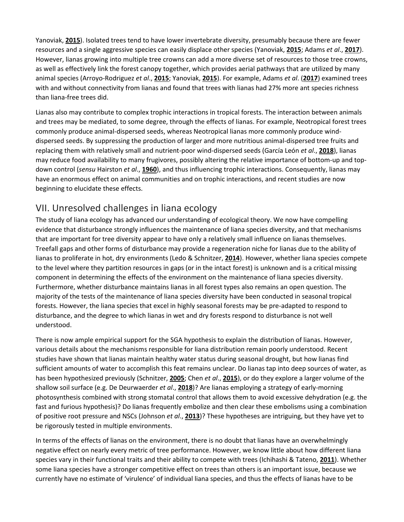Yanoviak, **[2015](https://nph.onlinelibrary.wiley.com/doi/full/10.1111/nph.15431#nph15431-bib-0154)**). Isolated trees tend to have lower invertebrate diversity, presumably because there are fewer resources and a single aggressive species can easily displace other species (Yanoviak, **[2015](https://nph.onlinelibrary.wiley.com/doi/full/10.1111/nph.15431#nph15431-bib-0154)**; Adams *et al*., **[2017](https://nph.onlinelibrary.wiley.com/doi/full/10.1111/nph.15431#nph15431-bib-0001)**). However, lianas growing into multiple tree crowns can add a more diverse set of resources to those tree crowns, as well as effectively link the forest canopy together, which provides aerial pathways that are utilized by many animal species (Arroyo-Rodriguez *et al*., **[2015](https://nph.onlinelibrary.wiley.com/doi/full/10.1111/nph.15431#nph15431-bib-0007)**; Yanoviak, **[2015](https://nph.onlinelibrary.wiley.com/doi/full/10.1111/nph.15431#nph15431-bib-0154)**). For example, Adams *et al*. (**[2017](https://nph.onlinelibrary.wiley.com/doi/full/10.1111/nph.15431#nph15431-bib-0001)**) examined trees with and without connectivity from lianas and found that trees with lianas had 27% more ant species richness than liana-free trees did.

Lianas also may contribute to complex trophic interactions in tropical forests. The interaction between animals and trees may be mediated, to some degree, through the effects of lianas. For example, Neotropical forest trees commonly produce animal-dispersed seeds, whereas Neotropical lianas more commonly produce winddispersed seeds. By suppressing the production of larger and more nutritious animal-dispersed tree fruits and replacing them with relatively small and nutrient-poor wind-dispersed seeds (García León *et al*., **[2018](https://nph.onlinelibrary.wiley.com/doi/full/10.1111/nph.15431#nph15431-bib-0043)**), lianas may reduce food availability to many frugivores, possibly altering the relative importance of bottom-up and topdown control (*sensu* Hairston *et al*., **[1960](https://nph.onlinelibrary.wiley.com/doi/full/10.1111/nph.15431#nph15431-bib-0053)**), and thus influencing trophic interactions. Consequently, lianas may have an enormous effect on animal communities and on trophic interactions, and recent studies are now beginning to elucidate these effects.

# VII. Unresolved challenges in liana ecology

The study of liana ecology has advanced our understanding of ecological theory. We now have compelling evidence that disturbance strongly influences the maintenance of liana species diversity, and that mechanisms that are important for tree diversity appear to have only a relatively small influence on lianas themselves. Treefall gaps and other forms of disturbance may provide a regeneration niche for lianas due to the ability of lianas to proliferate in hot, dry environments (Ledo & Schnitzer, **[2014](https://nph.onlinelibrary.wiley.com/doi/full/10.1111/nph.15431#nph15431-bib-0084)**). However, whether liana species compete to the level where they partition resources in gaps (or in the intact forest) is unknown and is a critical missing component in determining the effects of the environment on the maintenance of liana species diversity. Furthermore, whether disturbance maintains lianas in all forest types also remains an open question. The majority of the tests of the maintenance of liana species diversity have been conducted in seasonal tropical forests. However, the liana species that excel in highly seasonal forests may be pre-adapted to respond to disturbance, and the degree to which lianas in wet and dry forests respond to disturbance is not well understood.

There is now ample empirical support for the SGA hypothesis to explain the distribution of lianas. However, various details about the mechanisms responsible for liana distribution remain poorly understood. Recent studies have shown that lianas maintain healthy water status during seasonal drought, but how lianas find sufficient amounts of water to accomplish this feat remains unclear. Do lianas tap into deep sources of water, as has been hypothesized previously (Schnitzer, **[2005](https://nph.onlinelibrary.wiley.com/doi/full/10.1111/nph.15431#nph15431-bib-0119)**; Chen *et al*., **[2015](https://nph.onlinelibrary.wiley.com/doi/full/10.1111/nph.15431#nph15431-bib-0024)**), or do they explore a larger volume of the shallow soil surface (e.g. De Deurwaerder *et al*., **[2018](https://nph.onlinelibrary.wiley.com/doi/full/10.1111/nph.15431#nph15431-bib-0032)**)? Are lianas employing a strategy of early-morning photosynthesis combined with strong stomatal control that allows them to avoid excessive dehydration (e.g. the fast and furious hypothesis)? Do lianas frequently embolize and then clear these embolisms using a combination of positive root pressure and NSCs (Johnson *et al*., **[2013](https://nph.onlinelibrary.wiley.com/doi/full/10.1111/nph.15431#nph15431-bib-0073)**)? These hypotheses are intriguing, but they have yet to be rigorously tested in multiple environments.

In terms of the effects of lianas on the environment, there is no doubt that lianas have an overwhelmingly negative effect on nearly every metric of tree performance. However, we know little about how different liana species vary in their functional traits and their ability to compete with trees (Ichihashi & Tateno, **[2011](https://nph.onlinelibrary.wiley.com/doi/full/10.1111/nph.15431#nph15431-bib-0064)**). Whether some liana species have a stronger competitive effect on trees than others is an important issue, because we currently have no estimate of 'virulence' of individual liana species, and thus the effects of lianas have to be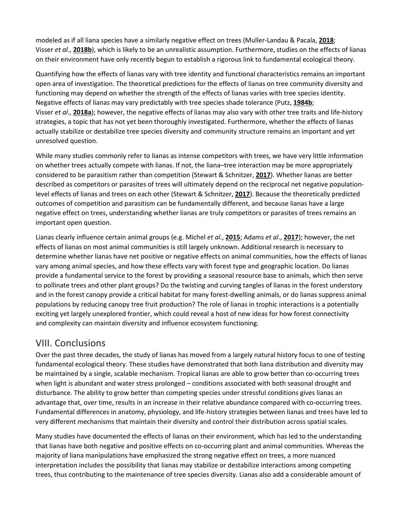modeled as if all liana species have a similarly negative effect on trees (Muller-Landau & Pacala, **[2018](https://nph.onlinelibrary.wiley.com/doi/full/10.1111/nph.15431#nph15431-bib-0094)**; Visser *et al*., **[2018b](https://nph.onlinelibrary.wiley.com/doi/full/10.1111/nph.15431#nph15431-bib-0148)**), which is likely to be an unrealistic assumption. Furthermore, studies on the effects of lianas on their environment have only recently begun to establish a rigorous link to fundamental ecological theory.

Quantifying how the effects of lianas vary with tree identity and functional characteristics remains an important open area of investigation. The theoretical predictions for the effects of lianas on tree community diversity and functioning may depend on whether the strength of the effects of lianas varies with tree species identity. Negative effects of lianas may vary predictably with tree species shade tolerance (Putz, **[1984b](https://nph.onlinelibrary.wiley.com/doi/full/10.1111/nph.15431#nph15431-bib-0110)**; Visser *et al*., **[2018a](https://nph.onlinelibrary.wiley.com/doi/full/10.1111/nph.15431#nph15431-bib-0149)**); however, the negative effects of lianas may also vary with other tree traits and life-history strategies, a topic that has not yet been thoroughly investigated. Furthermore, whether the effects of lianas actually stabilize or destabilize tree species diversity and community structure remains an important and yet unresolved question.

While many studies commonly refer to lianas as intense competitors with trees, we have very little information on whether trees actually compete with lianas. If not, the liana–tree interaction may be more appropriately considered to be parasitism rather than competition (Stewart & Schnitzer, **[2017](https://nph.onlinelibrary.wiley.com/doi/full/10.1111/nph.15431#nph15431-bib-0137)**). Whether lianas are better described as competitors or parasites of trees will ultimately depend on the reciprocal net negative populationlevel effects of lianas and trees on each other (Stewart & Schnitzer, **[2017](https://nph.onlinelibrary.wiley.com/doi/full/10.1111/nph.15431#nph15431-bib-0137)**). Because the theoretically predicted outcomes of competition and parasitism can be fundamentally different, and because lianas have a large negative effect on trees, understanding whether lianas are truly competitors or parasites of trees remains an important open question.

Lianas clearly influence certain animal groups (e.g. Michel *et al*., **[2015](https://nph.onlinelibrary.wiley.com/doi/full/10.1111/nph.15431#nph15431-bib-0093)**; Adams *et al*., **[2017](https://nph.onlinelibrary.wiley.com/doi/full/10.1111/nph.15431#nph15431-bib-0001)**); however, the net effects of lianas on most animal communities is still largely unknown. Additional research is necessary to determine whether lianas have net positive or negative effects on animal communities, how the effects of lianas vary among animal species, and how these effects vary with forest type and geographic location. Do lianas provide a fundamental service to the forest by providing a seasonal resource base to animals, which then serve to pollinate trees and other plant groups? Do the twisting and curving tangles of lianas in the forest understory and in the forest canopy provide a critical habitat for many forest-dwelling animals, or do lianas suppress animal populations by reducing canopy tree fruit production? The role of lianas in trophic interactions is a potentially exciting yet largely unexplored frontier, which could reveal a host of new ideas for how forest connectivity and complexity can maintain diversity and influence ecosystem functioning.

### VIII. Conclusions

Over the past three decades, the study of lianas has moved from a largely natural history focus to one of testing fundamental ecological theory. These studies have demonstrated that both liana distribution and diversity may be maintained by a single, scalable mechanism. Tropical lianas are able to grow better than co-occurring trees when light is abundant and water stress prolonged – conditions associated with both seasonal drought and disturbance. The ability to grow better than competing species under stressful conditions gives lianas an advantage that, over time, results in an increase in their relative abundance compared with co-occurring trees. Fundamental differences in anatomy, physiology, and life-history strategies between lianas and trees have led to very different mechanisms that maintain their diversity and control their distribution across spatial scales.

Many studies have documented the effects of lianas on their environment, which has led to the understanding that lianas have both negative and positive effects on co-occurring plant and animal communities. Whereas the majority of liana manipulations have emphasized the strong negative effect on trees, a more nuanced interpretation includes the possibility that lianas may stabilize or destabilize interactions among competing trees, thus contributing to the maintenance of tree species diversity. Lianas also add a considerable amount of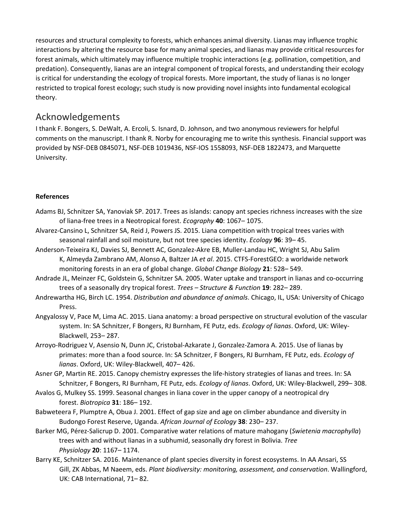resources and structural complexity to forests, which enhances animal diversity. Lianas may influence trophic interactions by altering the resource base for many animal species, and lianas may provide critical resources for forest animals, which ultimately may influence multiple trophic interactions (e.g. pollination, competition, and predation). Consequently, lianas are an integral component of tropical forests, and understanding their ecology is critical for understanding the ecology of tropical forests. More important, the study of lianas is no longer restricted to tropical forest ecology; such study is now providing novel insights into fundamental ecological theory.

### Acknowledgements

I thank F. Bongers, S. DeWalt, A. Ercoli, S. Isnard, D. Johnson, and two anonymous reviewers for helpful comments on the manuscript. I thank R. Norby for encouraging me to write this synthesis. Financial support was provided by NSF-DEB 0845071, NSF-DEB 1019436, NSF-IOS 1558093, NSF-DEB 1822473, and Marquette University.

#### **References**

- Adams BJ, Schnitzer SA, Yanoviak SP. 2017. Trees as islands: canopy ant species richness increases with the size of liana-free trees in a Neotropical forest. *Ecography* **40**: 1067– 1075.
- Alvarez-Cansino L, Schnitzer SA, Reid J, Powers JS. 2015. Liana competition with tropical trees varies with seasonal rainfall and soil moisture, but not tree species identity. *Ecology* **96**: 39– 45.
- Anderson-Teixeira KJ, Davies SJ, Bennett AC, Gonzalez-Akre EB, Muller-Landau HC, Wright SJ, Abu Salim K, Almeyda Zambrano AM, Alonso A, Baltzer JA *et al*. 2015. CTFS-ForestGEO: a worldwide network monitoring forests in an era of global change. *Global Change Biology* **21**: 528– 549.
- Andrade JL, Meinzer FC, Goldstein G, Schnitzer SA. 2005. Water uptake and transport in lianas and co-occurring trees of a seasonally dry tropical forest. *Trees – Structure & Function* **19**: 282– 289.
- Andrewartha HG, Birch LC. 1954. *Distribution and abundance of animals*. Chicago, IL, USA: University of Chicago Press.
- Angyalossy V, Pace M, Lima AC. 2015. Liana anatomy: a broad perspective on structural evolution of the vascular system. In: SA Schnitzer, F Bongers, RJ Burnham, FE Putz, eds. *Ecology of lianas*. Oxford, UK: Wiley-Blackwell, 253– 287.
- Arroyo-Rodriguez V, Asensio N, Dunn JC, Cristobal-Azkarate J, Gonzalez-Zamora A. 2015. Use of lianas by primates: more than a food source. In: SA Schnitzer, F Bongers, RJ Burnham, FE Putz, eds. *Ecology of lianas*. Oxford, UK: Wiley-Blackwell, 407– 426.
- Asner GP, Martin RE. 2015. Canopy chemistry expresses the life-history strategies of lianas and trees. In: SA Schnitzer, F Bongers, RJ Burnham, FE Putz, eds. *Ecology of lianas*. Oxford, UK: Wiley-Blackwell, 299– 308.
- Avalos G, Mulkey SS. 1999. Seasonal changes in liana cover in the upper canopy of a neotropical dry forest. *Biotropica* **31**: 186– 192.
- Babweteera F, Plumptre A, Obua J. 2001. Effect of gap size and age on climber abundance and diversity in Budongo Forest Reserve, Uganda. *African Journal of Ecology* **38**: 230– 237.
- Barker MG, Pérez-Salicrup D. 2001. Comparative water relations of mature mahogany (*Swietenia macrophylla*) trees with and without lianas in a subhumid, seasonally dry forest in Bolivia. *Tree Physiology* **20**: 1167– 1174.
- Barry KE, Schnitzer SA. 2016. Maintenance of plant species diversity in forest ecosystems. In AA Ansari, SS Gill, ZK Abbas, M Naeem, eds. *Plant biodiversity: monitoring, assessment, and conservation*. Wallingford, UK: CAB International, 71– 82.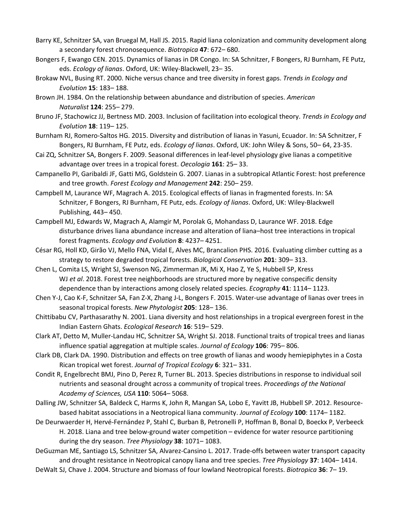- Barry KE, Schnitzer SA, van Bruegal M, Hall JS. 2015. Rapid liana colonization and community development along a secondary forest chronosequence. *Biotropica* **47**: 672– 680.
- Bongers F, Ewango CEN. 2015. Dynamics of lianas in DR Congo. In: SA Schnitzer, F Bongers, RJ Burnham, FE Putz, eds. *Ecology of lianas*. Oxford, UK: Wiley-Blackwell, 23– 35.
- Brokaw NVL, Busing RT. 2000. Niche versus chance and tree diversity in forest gaps. *Trends in Ecology and Evolution* **15**: 183– 188.
- Brown JH. 1984. On the relationship between abundance and distribution of species. *American Naturalist* **124**: 255– 279.
- Bruno JF, Stachowicz JJ, Bertness MD. 2003. Inclusion of facilitation into ecological theory. *Trends in Ecology and Evolution* **18**: 119– 125.
- Burnham RJ, Romero-Saltos HG. 2015. Diversity and distribution of lianas in Yasuni, Ecuador. In: SA Schnitzer, F Bongers, RJ Burnham, FE Putz, eds. *Ecology of lianas*. Oxford, UK: John Wiley & Sons, 50– 64, 23-35.
- Cai ZQ, Schnitzer SA, Bongers F. 2009. Seasonal differences in leaf-level physiology give lianas a competitive advantage over trees in a tropical forest. *Oecologia* **161**: 25– 33.
- Campanello PI, Garibaldi JF, Gatti MG, Goldstein G. 2007. Lianas in a subtropical Atlantic Forest: host preference and tree growth. *Forest Ecology and Management* **242**: 250– 259.
- Campbell M, Laurance WF, Magrach A. 2015. Ecological effects of lianas in fragmented forests. In: SA Schnitzer, F Bongers, RJ Burnham, FE Putz, eds. *Ecology of lianas*. Oxford, UK: Wiley-Blackwell Publishing, 443– 450.
- Campbell MJ, Edwards W, Magrach A, Alamgir M, Porolak G, Mohandass D, Laurance WF. 2018. Edge disturbance drives liana abundance increase and alteration of liana–host tree interactions in tropical forest fragments. *Ecology and Evolution* **8**: 4237– 4251.
- César RG, Holl KD, Girão VJ, Mello FNA, Vidal E, Alves MC, Brancalion PHS. 2016. Evaluating climber cutting as a strategy to restore degraded tropical forests. *Biological Conservation* **201**: 309– 313.
- Chen L, Comita LS, Wright SJ, Swenson NG, Zimmerman JK, Mi X, Hao Z, Ye S, Hubbell SP, Kress WJ *et al*. 2018. Forest tree neighborhoods are structured more by negative conspecific density dependence than by interactions among closely related species. *Ecography* **41**: 1114– 1123.
- Chen Y-J, Cao K-F, Schnitzer SA, Fan Z-X, Zhang J-L, Bongers F. 2015. Water-use advantage of lianas over trees in seasonal tropical forests. *New Phytologist* **205**: 128– 136.
- Chittibabu CV, Parthasarathy N. 2001. Liana diversity and host relationships in a tropical evergreen forest in the Indian Eastern Ghats. *Ecological Research* **16**: 519– 529.
- Clark AT, Detto M, Muller-Landau HC, Schnitzer SA, Wright SJ. 2018. Functional traits of tropical trees and lianas influence spatial aggregation at multiple scales. *Journal of Ecology* **106**: 795– 806.
- Clark DB, Clark DA. 1990. Distribution and effects on tree growth of lianas and woody hemiepiphytes in a Costa Rican tropical wet forest. *Journal of Tropical Ecology* **6**: 321– 331.
- Condit R, Engelbrecht BMJ, Pino D, Perez R, Turner BL. 2013. Species distributions in response to individual soil nutrients and seasonal drought across a community of tropical trees. *Proceedings of the National Academy of Sciences, USA* **110**: 5064– 5068.
- Dalling JW, Schnitzer SA, Baldeck C, Harms K, John R, Mangan SA, Lobo E, Yavitt JB, Hubbell SP. 2012. Resourcebased habitat associations in a Neotropical liana community. *Journal of Ecology* **100**: 1174– 1182.
- De Deurwaerder H, Hervé-Fernández P, Stahl C, Burban B, Petronelli P, Hoffman B, Bonal D, Boeckx P, Verbeeck H. 2018. Liana and tree below-ground water competition – evidence for water resource partitioning during the dry season. *Tree Physiology* **38**: 1071– 1083.
- DeGuzman ME, Santiago LS, Schnitzer SA, Alvarez-Cansino L. 2017. Trade-offs between water transport capacity and drought resistance in Neotropical canopy liana and tree species. *Tree Physiology* **37**: 1404– 1414.
- DeWalt SJ, Chave J. 2004. Structure and biomass of four lowland Neotropical forests. *Biotropica* **36**: 7– 19.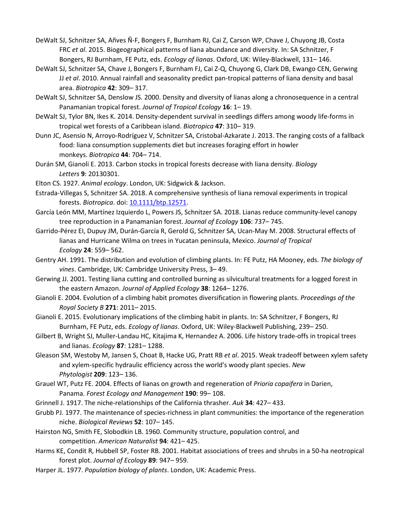- DeWalt SJ, Schnitzer SA, Añves Ñ-F, Bongers F, Burnham RJ, Cai Z, Carson WP, Chave J, Chuyong JB, Costa FRC *et al*. 2015. Biogeographical patterns of liana abundance and diversity. In: SA Schnitzer, F Bongers, RJ Burnham, FE Putz, eds. *Ecology of lianas*. Oxford, UK: Wiley-Blackwell, 131– 146.
- DeWalt SJ, Schnitzer SA, Chave J, Bongers F, Burnham FJ, Cai Z-Q, Chuyong G, Clark DB, Ewango CEN, Gerwing JJ *et al*. 2010. Annual rainfall and seasonality predict pan-tropical patterns of liana density and basal area. *Biotropica* **42**: 309– 317.
- DeWalt SJ, Schnitzer SA, Denslow JS. 2000. Density and diversity of lianas along a chronosequence in a central Panamanian tropical forest. *Journal of Tropical Ecology* **16**: 1– 19.
- DeWalt SJ, Tylor BN, Ikes K. 2014. Density-dependent survival in seedlings differs among woody life-forms in tropical wet forests of a Caribbean island. *Biotropica* **47**: 310– 319.
- Dunn JC, Asensio N, Arroyo-Rodríguez V, Schnitzer SA, Cristobal-Azkarate J. 2013. The ranging costs of a fallback food: liana consumption supplements diet but increases foraging effort in howler monkeys. *Biotropica* **44**: 704– 714.
- Durán SM, Gianoli E. 2013. Carbon stocks in tropical forests decrease with liana density. *Biology Letters* **9**: 20130301.
- Elton CS. 1927. *Animal ecology*. London, UK: Sidgwick & Jackson.
- Estrada-Villegas S, Schnitzer SA. 2018. A comprehensive synthesis of liana removal experiments in tropical forests. *Biotropica*. doi: [10.1111/btp.12571.](https://doi.org/10.1111/btp.12571)
- García León MM, Martínez Izquierdo L, Powers JS, Schnitzer SA. 2018. Lianas reduce community-level canopy tree reproduction in a Panamanian forest. *Journal of Ecology* **106**: 737– 745.
- Garrido-Pérez EI, Dupuy JM, Durán-García R, Gerold G, Schnitzer SA, Ucan-May M. 2008. Structural effects of lianas and Hurricane Wilma on trees in Yucatan peninsula, Mexico. *Journal of Tropical Ecology* **24**: 559– 562.
- Gentry AH. 1991. The distribution and evolution of climbing plants. In: FE Putz, HA Mooney, eds. *The biology of vines*. Cambridge, UK: Cambridge University Press, 3– 49.
- Gerwing JJ. 2001. Testing liana cutting and controlled burning as silvicultural treatments for a logged forest in the eastern Amazon. *Journal of Applied Ecology* **38**: 1264– 1276.
- Gianoli E. 2004. Evolution of a climbing habit promotes diversification in flowering plants. *Proceedings of the Royal Society B* **271**: 2011– 2015.
- Gianoli E. 2015. Evolutionary implications of the climbing habit in plants. In: SA Schnitzer, F Bongers, RJ Burnham, FE Putz, eds. *Ecology of lianas*. Oxford, UK: Wiley-Blackwell Publishing, 239– 250.
- Gilbert B, Wright SJ, Muller-Landau HC, Kitajima K, Hernandez A. 2006. Life history trade-offs in tropical trees and lianas. *Ecology* **87**: 1281– 1288.
- Gleason SM, Westoby M, Jansen S, Choat B, Hacke UG, Pratt RB *et al*. 2015. Weak tradeoff between xylem safety and xylem-specific hydraulic efficiency across the world's woody plant species. *New Phytologist* **209**: 123– 136.
- Grauel WT, Putz FE. 2004. Effects of lianas on growth and regeneration of *Prioria copaifera* in Darien, Panama. *Forest Ecology and Management* **190**: 99– 108.
- Grinnell J. 1917. The niche-relationships of the California thrasher. *Auk* **34**: 427– 433.
- Grubb PJ. 1977. The maintenance of species-richness in plant communities: the importance of the regeneration niche. *Biological Reviews* **52**: 107– 145.
- Hairston NG, Smith FE, Slobodkin LB. 1960. Community structure, population control, and competition. *American Naturalist* **94**: 421– 425.
- Harms KE, Condit R, Hubbell SP, Foster RB. 2001. Habitat associations of trees and shrubs in a 50-ha neotropical forest plot. *Journal of Ecology* **89**: 947– 959.
- Harper JL. 1977. *Population biology of plants*. London, UK: Academic Press.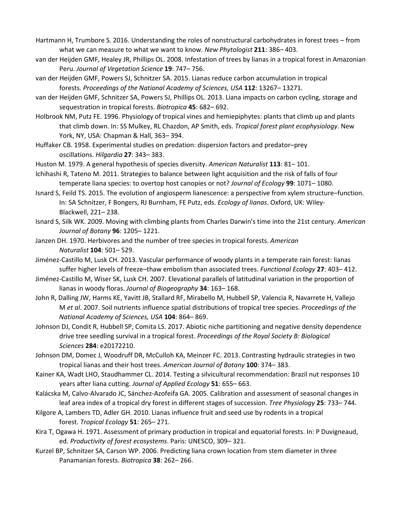- Hartmann H, Trumbore S. 2016. Understanding the roles of nonstructural carbohydrates in forest trees from what we can measure to what we want to know. *New Phytologist* **211**: 386– 403.
- van der Heijden GMF, Healey JR, Phillips OL. 2008. Infestation of trees by lianas in a tropical forest in Amazonian Peru. *Journal of Vegetation Science* **19**: 747– 756.
- van der Heijden GMF, Powers SJ, Schnitzer SA. 2015. Lianas reduce carbon accumulation in tropical forests. *Proceedings of the National Academy of Sciences, USA* **112**: 13267– 13271.
- van der Heijden GMF, Schnitzer SA, Powers SJ, Phillips OL. 2013. Liana impacts on carbon cycling, storage and sequestration in tropical forests. *Biotropica* **45**: 682– 692.
- Holbrook NM, Putz FE. 1996. Physiology of tropical vines and hemiepiphytes: plants that climb up and plants that climb down. In: SS Mulkey, RL Chazdon, AP Smith, eds. *Tropical forest plant ecophysiology*. New York, NY, USA: Chapman & Hall, 363– 394.
- Huffaker CB. 1958. Experimental studies on predation: dispersion factors and predator–prey oscillations. *Hilgardia* **27**: 343– 383.
- Huston M. 1979. A general hypothesis of species diversity. *American Naturalist* **113**: 81– 101.
- Ichihashi R, Tateno M. 2011. Strategies to balance between light acquisition and the risk of falls of four temperate liana species: to overtop host canopies or not? *Journal of Ecology* **99**: 1071– 1080.
- Isnard S, Feild TS. 2015. The evolution of angiosperm lianescence: a perspective from xylem structure–function. In: SA Schnitzer, F Bongers, RJ Burnham, FE Putz, eds. *Ecology of lianas*. Oxford, UK: Wiley-Blackwell, 221– 238.
- Isnard S, Silk WK. 2009. Moving with climbing plants from Charles Darwin's time into the 21st century. *American Journal of Botany* **96**: 1205– 1221.
- Janzen DH. 1970. Herbivores and the number of tree species in tropical forests. *American Naturalist* **104**: 501– 529.
- Jiménez-Castillo M, Lusk CH. 2013. Vascular performance of woody plants in a temperate rain forest: lianas suffer higher levels of freeze–thaw embolism than associated trees. *Functional Ecology* **27**: 403– 412.
- Jiménez-Castillo M, Wiser SK, Lusk CH. 2007. Elevational parallels of latitudinal variation in the proportion of lianas in woody floras. *Journal of Biogeography* **34**: 163– 168.
- John R, Dalling JW, Harms KE, Yavitt JB, Stallard RF, Mirabello M, Hubbell SP, Valencia R, Navarrete H, Vallejo M *et al*. 2007. Soil nutrients influence spatial distributions of tropical tree species. *Proceedings of the National Academy of Sciences, USA* **104**: 864– 869.
- Johnson DJ, Condit R, Hubbell SP, Comita LS. 2017. Abiotic niche partitioning and negative density dependence drive tree seedling survival in a tropical forest. *Proceedings of the Royal Society B: Biological Sciences* **284**: e20172210.
- Johnson DM, Domec J, Woodruff DR, McCulloh KA, Meinzer FC. 2013. Contrasting hydraulic strategies in two tropical lianas and their host trees. *American Journal of Botany* **100**: 374– 383.
- Kainer KA, Wadt LHO, Staudhammer CL. 2014. Testing a silvicultural recommendation: Brazil nut responses 10 years after liana cutting. *Journal of Applied Ecology* **51**: 655– 663.
- Kalácska M, Calvo-Alvarado JC, Sánchez-Azofeifa GA. 2005. Calibration and assessment of seasonal changes in leaf area index of a tropical dry forest in different stages of succession. *Tree Physiology* **25**: 733– 744.
- Kilgore A, Lambers TD, Adler GH. 2010. Lianas influence fruit and seed use by rodents in a tropical forest. *Tropical Ecology* **51**: 265– 271.
- Kira T, Ogawa H. 1971. Assessment of primary production in tropical and equatorial forests. In: P Duvigneaud, ed. *Productivity of forest ecosystems*. Paris: UNESCO, 309– 321.
- Kurzel BP, Schnitzer SA, Carson WP. 2006. Predicting liana crown location from stem diameter in three Panamanian forests. *Biotropica* **38**: 262– 266.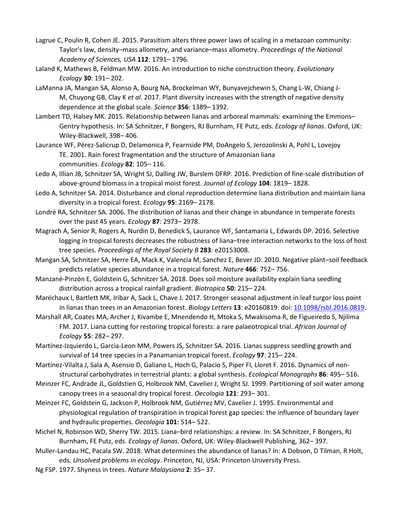- Lagrue C, Poulin R, Cohen JE. 2015. Parasitism alters three power laws of scaling in a metazoan community: Taylor's law, density–mass allometry, and variance–mass allometry. *Proceedings of the National Academy of Sciences, USA* **112**: 1791– 1796.
- Laland K, Mathews B, Feldman MW. 2016. An introduction to niche construction theory. *Evolutionary Ecology* **30**: 191– 202.
- LaManna JA, Mangan SA, Alonso A, Bourg NA, Brockelman WY, Bunyavejchewin S, Chang L-W, Chiang J-M, Chuyong GB, Clay K *et al*. 2017. Plant diversity increases with the strength of negative density dependence at the global scale. *Science* **356**: 1389– 1392.
- Lambert TD, Halsey MK. 2015. Relationship between lianas and arboreal mammals: examining the Emmons– Gentry hypothesis. In: SA Schnitzer, F Bongers, RJ Burnham, FE Putz, eds. *Ecology of lianas*. Oxford, UK: Wiley-Blackwell, 398– 406.
- Laurance WF, Pérez-Salicrup D, Delamonica P, Fearnside PM, DoAngelo S, Jerozolinski A, Pohl L, Lovejoy TE. 2001. Rain forest fragmentation and the structure of Amazonian liana communities. *Ecology* **82**: 105– 116.
- Ledo A, Illian JB, Schnitzer SA, Wright SJ, Dalling JW, Burslem DFRP. 2016. Prediction of fine-scale distribution of above-ground biomass in a tropical moist forest. *Journal of Ecology* **104**: 1819– 1828.
- Ledo A, Schnitzer SA. 2014. Disturbance and clonal reproduction determine liana distribution and maintain liana diversity in a tropical forest. *Ecology* **95**: 2169– 2178.
- Londré RA, Schnitzer SA. 2006. The distribution of lianas and their change in abundance in temperate forests over the past 45 years. *Ecology* **87**: 2973– 2978.
- Magrach A, Senior R, Rogers A, Nurdin D, Benedick S, Laurance WF, Santamaria L, Edwards DP. 2016. Selective logging in tropical forests decreases the robustness of liana–tree interaction networks to the loss of host tree species. *Proceedings of the Royal Society B* **283**: e20153008.
- Mangan SA, Schnitzer SA, Herre EA, Mack K, Valencia M, Sanchez E, Bever JD. 2010. Negative plant–soil feedback predicts relative species abundance in a tropical forest. *Nature* **466**: 752– 756.
- Manzané-Pinzón E, Goldstein G, Schnitzer SA. 2018. Does soil moisture availability explain liana seedling distribution across a tropical rainfall gradient. *Biotropica* **50**: 215– 224.
- Maréchaux I, Bartlett MK, Iribar A, Sack L, Chave J. 2017. Stronger seasonal adjustment in leaf turgor loss point in lianas than trees in an Amazonian forest. *Biology Letters* **13**: e20160819. doi: [10.1098/rsbl.2016.0819.](https://doi.org/10.1098/rsbl.2016.0819)
- Marshall AR, Coates MA, Archer J, Kivambe E, Mnendendo H, Mtoka S, Mwakisoma R, de Figueiredo S, Njilima FM. 2017. Liana cutting for restoring tropical forests: a rare palaeotropical trial. *African Journal of Ecology* **55**: 282– 297.
- Martínez-Izquierdo L, Garcia-Leon MM, Powers JS, Schnitzer SA. 2016. Lianas suppress seedling growth and survival of 14 tree species in a Panamanian tropical forest. *Ecology* **97**: 215– 224.

Martínez-Vilalta J, Sala A, Asensio D, Galiano L, Hoch G, Palacio S, Piper FI, Lloret F. 2016. Dynamics of nonstructural carbohydrates in terrestrial plants: a global synthesis. *Ecological Monographs* **86**: 495– 516.

- Meinzer FC, Andrade JL, Goldstien G, Holbrook NM, Cavelier J, Wright SJ. 1999. Partitioning of soil water among canopy trees in a seasonal dry tropical forest. *Oecologia* **121**: 293– 301.
- Meinzer FC, Goldstein G, Jackson P, Holbrook NM, Gutiérrez MV, Cavelier J. 1995. Environmental and physiological regulation of transpiration in tropical forest gap species: the influence of boundary layer and hydraulic properties. *Oecologia* **101**: 514– 522.
- Michel N, Robinson WD, Sherry TW. 2015. Liana–bird relationships: a review. In: SA Schnitzer, F Bongers, RJ Burnham, FE Putz, eds. *Ecology of lianas*. Oxford, UK: Wiley-Blackwell Publishing, 362– 397.
- Muller-Landau HC, Pacala SW. 2018. What determines the abundance of lianas? In: A Dobson, D Tilman, R Holt, eds. *Unsolved problems in ecology*. Princeton, NJ, USA: Princeton University Press.
- Ng FSP. 1977. Shyness in trees. *Nature Malaysiana* **2**: 35– 37.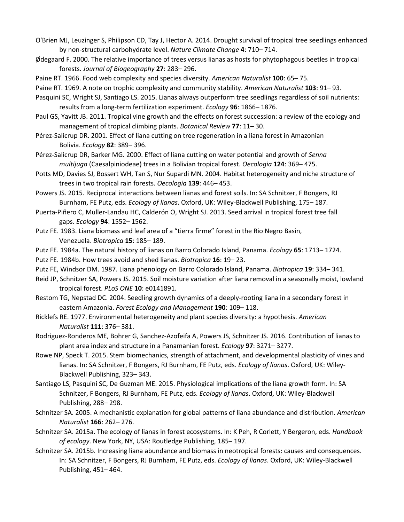- O'Brien MJ, Leuzinger S, Philipson CD, Tay J, Hector A. 2014. Drought survival of tropical tree seedlings enhanced by non-structural carbohydrate level. *Nature Climate Change* **4**: 710– 714.
- Ødegaard F. 2000. The relative importance of trees versus lianas as hosts for phytophagous beetles in tropical forests. *Journal of Biogeography* **27**: 283– 296.
- Paine RT. 1966. Food web complexity and species diversity. *American Naturalist* **100**: 65– 75.
- Paine RT. 1969. A note on trophic complexity and community stability. *American Naturalist* **103**: 91– 93.
- Pasquini SC, Wright SJ, Santiago LS. 2015. Lianas always outperform tree seedlings regardless of soil nutrients: results from a long-term fertilization experiment. *Ecology* **96**: 1866– 1876.
- Paul GS, Yavitt JB. 2011. Tropical vine growth and the effects on forest succession: a review of the ecology and management of tropical climbing plants. *Botanical Review* **77**: 11– 30.
- Pérez-Salicrup DR. 2001. Effect of liana cutting on tree regeneration in a liana forest in Amazonian Bolivia. *Ecology* **82**: 389– 396.
- Pérez-Salicrup DR, Barker MG. 2000. Effect of liana cutting on water potential and growth of *Senna multijuga* (Caesalpiniodeae) trees in a Bolivian tropical forest. *Oecologia* **124**: 369– 475.
- Potts MD, Davies SJ, Bossert WH, Tan S, Nur Supardi MN. 2004. Habitat heterogeneity and niche structure of trees in two tropical rain forests. *Oecologia* **139**: 446– 453.
- Powers JS. 2015. Reciprocal interactions between lianas and forest soils. In: SA Schnitzer, F Bongers, RJ Burnham, FE Putz, eds. *Ecology of lianas*. Oxford, UK: Wiley-Blackwell Publishing, 175– 187.
- Puerta-Piñero C, Muller-Landau HC, Calderón O, Wright SJ. 2013. Seed arrival in tropical forest tree fall gaps. *Ecology* **94**: 1552– 1562.
- Putz FE. 1983. Liana biomass and leaf area of a "tierra firme" forest in the Rio Negro Basin, Venezuela. *Biotropica* **15**: 185– 189.
- Putz FE. 1984a. The natural history of lianas on Barro Colorado Island, Panama. *Ecology* **65**: 1713– 1724.
- Putz FE. 1984b. How trees avoid and shed lianas. *Biotropica* **16**: 19– 23.
- Putz FE, Windsor DM. 1987. Liana phenology on Barro Colorado Island, Panama. *Biotropica* **19**: 334– 341.
- Reid JP, Schnitzer SA, Powers JS. 2015. Soil moisture variation after liana removal in a seasonally moist, lowland tropical forest. *PLoS ONE* **10**: e0141891.
- Restom TG, Nepstad DC. 2004. Seedling growth dynamics of a deeply-rooting liana in a secondary forest in eastern Amazonia. *Forest Ecology and Management* **190**: 109– 118.
- Ricklefs RE. 1977. Environmental heterogeneity and plant species diversity: a hypothesis. *American Naturalist* **111**: 376– 381.
- Rodriguez-Ronderos ME, Bohrer G, Sanchez-Azofeifa A, Powers JS, Schnitzer JS. 2016. Contribution of lianas to plant area index and structure in a Panamanian forest. *Ecology* **97**: 3271– 3277.
- Rowe NP, Speck T. 2015. Stem biomechanics, strength of attachment, and developmental plasticity of vines and lianas. In: SA Schnitzer, F Bongers, RJ Burnham, FE Putz, eds. *Ecology of lianas*. Oxford, UK: Wiley-Blackwell Publishing, 323– 343.
- Santiago LS, Pasquini SC, De Guzman ME. 2015. Physiological implications of the liana growth form. In: SA Schnitzer, F Bongers, RJ Burnham, FE Putz, eds. *Ecology of lianas*. Oxford, UK: Wiley-Blackwell Publishing, 288– 298.
- Schnitzer SA. 2005. A mechanistic explanation for global patterns of liana abundance and distribution. *American Naturalist* **166**: 262– 276.
- Schnitzer SA. 2015a. The ecology of lianas in forest ecosystems. In: K Peh, R Corlett, Y Bergeron, eds. *Handbook of ecology*. New York, NY, USA: Routledge Publishing, 185– 197.
- Schnitzer SA. 2015b. Increasing liana abundance and biomass in neotropical forests: causes and consequences. In: SA Schnitzer, F Bongers, RJ Burnham, FE Putz, eds. *Ecology of lianas*. Oxford, UK: Wiley-Blackwell Publishing, 451– 464.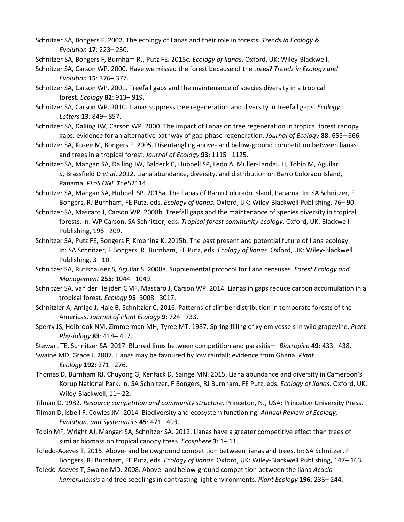Schnitzer SA, Bongers F. 2002. The ecology of lianas and their role in forests. *Trends in Ecology & Evolution* **17**: 223– 230.

Schnitzer SA, Bongers F, Burnham RJ, Putz FE. 2015c. *Ecology of lianas*. Oxford, UK: Wiley-Blackwell.

Schnitzer SA, Carson WP. 2000. Have we missed the forest because of the trees? *Trends in Ecology and Evolution* **15**: 376– 377.

- Schnitzer SA, Carson WP. 2001. Treefall gaps and the maintenance of species diversity in a tropical forest. *Ecology* **82**: 913– 919.
- Schnitzer SA, Carson WP. 2010. Lianas suppress tree regeneration and diversity in treefall gaps. *Ecology Letters* **13**: 849– 857.
- Schnitzer SA, Dalling JW, Carson WP. 2000. The impact of lianas on tree regeneration in tropical forest canopy gaps: evidence for an alternative pathway of gap-phase regeneration. *Journal of Ecology* **88**: 655– 666.
- Schnitzer SA, Kuzee M, Bongers F. 2005. Disentangling above- and below-ground competition between lianas and trees in a tropical forest. *Journal of Ecology* **93**: 1115– 1125.
- Schnitzer SA, Mangan SA, Dalling JW, Baldeck C, Hubbell SP, Ledo A, Muller-Landau H, Tobin M, Aguilar S, Brassfield D *et al*. 2012. Liana abundance, diversity, and distribution on Barro Colorado Island, Panama. *PLoS ONE* **7**: e52114.
- Schnitzer SA, Mangan SA, Hubbell SP. 2015a. The lianas of Barro Colorado Island, Panama. In: SA Schnitzer, F Bongers, RJ Burnham, FE Putz, eds. *Ecology of lianas*. Oxford, UK: Wiley-Blackwell Publishing, 76– 90.
- Schnitzer SA, Mascaro J, Carson WP. 2008b. Treefall gaps and the maintenance of species diversity in tropical forests. In: WP Carson, SA Schnitzer, eds. *Tropical forest community ecology*. Oxford, UK: Blackwell Publishing, 196– 209.
- Schnitzer SA, Putz FE, Bongers F, Kroening K. 2015b. The past present and potential future of liana ecology. In: SA Schnitzer, F Bongers, RJ Burnham, FE Putz, eds. *Ecology of lianas*. Oxford, UK: Wiley-Blackwell Publishing, 3– 10.
- Schnitzer SA, Rutishauser S, Aguilar S. 2008a. Supplemental protocol for liana censuses. *Forest Ecology and Management* **255**: 1044– 1049.
- Schnitzer SA, van der Heijden GMF, Mascaro J, Carson WP. 2014. Lianas in gaps reduce carbon accumulation in a tropical forest. *Ecology* **95**: 3008– 3017.
- Schnitzler A, Amigo J, Hale B, Schnitzler C. 2016. Patterns of climber distribution in temperate forests of the Americas. *Journal of Plant Ecology* **9**: 724– 733.
- Sperry JS, Holbrook NM, Zimmerman MH, Tyree MT. 1987. Spring filling of xylem vessels in wild grapevine. *Plant Physiology* **83**: 414– 417.
- Stewart TE, Schnitzer SA. 2017. Blurred lines between competition and parasitism. *Biotropica* **49**: 433– 438.
- Swaine MD, Grace J. 2007. Lianas may be favoured by low rainfall: evidence from Ghana. *Plant Ecology* **192**: 271– 276.
- Thomas D, Burnham RJ, Chuyong G, Kenfack D, Sainge MN. 2015. Liana abundance and diversity in Cameroon's Korup National Park. In: SA Schnitzer, F Bongers, RJ Burnham, FE Putz, eds. *Ecology of lianas*. Oxford, UK: Wiley-Blackwell, 11– 22.
- Tilman D. 1982. *Resource competition and community structure*. Princeton, NJ, USA: Princeton University Press.
- Tilman D, Isbell F, Cowles JM. 2014. Biodiversity and ecosystem functioning. *Annual Review of Ecology, Evolution, and Systematics* **45**: 471– 493.
- Tobin MF, Wright AJ, Mangan SA, Schnitzer SA. 2012. Lianas have a greater competitive effect than trees of similar biomass on tropical canopy trees. *Ecosphere* **3**: 1– 11.
- Toledo-Aceves T. 2015. Above- and belowground competition between lianas and trees. In: SA Schnitzer, F Bongers, RJ Burnham, FE Putz, eds. *Ecology of lianas*. Oxford, UK: Wiley-Blackwell Publishing, 147– 163.
- Toledo-Aceves T, Swaine MD. 2008. Above- and below-ground competition between the liana *Acacia kamerunensis* and tree seedlings in contrasting light environments. *Plant Ecology* **196**: 233– 244.